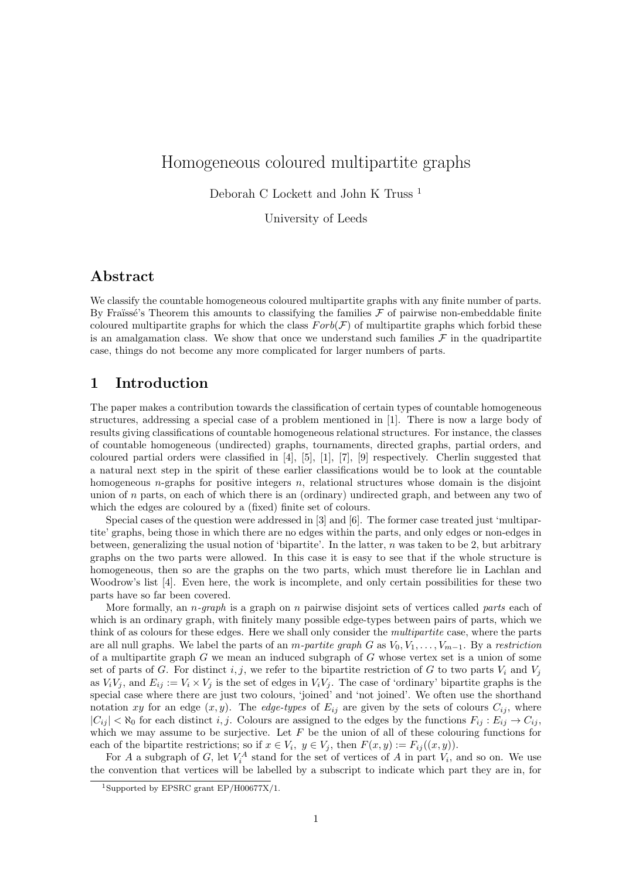# Homogeneous coloured multipartite graphs

Deborah C Lockett and John K Truss <sup>1</sup>

University of Leeds

## Abstract

We classify the countable homogeneous coloured multipartite graphs with any finite number of parts. By Fraüssé's Theorem this amounts to classifying the families  $\mathcal F$  of pairwise non-embeddable finite coloured multipartite graphs for which the class  $Forb(\mathcal{F})$  of multipartite graphs which forbid these is an amalgamation class. We show that once we understand such families  $\mathcal F$  in the quadripartite case, things do not become any more complicated for larger numbers of parts.

## 1 Introduction

The paper makes a contribution towards the classification of certain types of countable homogeneous structures, addressing a special case of a problem mentioned in [1]. There is now a large body of results giving classifications of countable homogeneous relational structures. For instance, the classes of countable homogeneous (undirected) graphs, tournaments, directed graphs, partial orders, and coloured partial orders were classified in [4], [5], [1], [7], [9] respectively. Cherlin suggested that a natural next step in the spirit of these earlier classifications would be to look at the countable homogeneous  $n$ -graphs for positive integers  $n$ , relational structures whose domain is the disjoint union of  $n$  parts, on each of which there is an (ordinary) undirected graph, and between any two of which the edges are coloured by a (fixed) finite set of colours.

Special cases of the question were addressed in [3] and [6]. The former case treated just 'multipartite' graphs, being those in which there are no edges within the parts, and only edges or non-edges in between, generalizing the usual notion of 'bipartite'. In the latter,  $n$  was taken to be 2, but arbitrary graphs on the two parts were allowed. In this case it is easy to see that if the whole structure is homogeneous, then so are the graphs on the two parts, which must therefore lie in Lachlan and Woodrow's list [4]. Even here, the work is incomplete, and only certain possibilities for these two parts have so far been covered.

More formally, an *n*-graph is a graph on *n* pairwise disjoint sets of vertices called *parts* each of which is an ordinary graph, with finitely many possible edge-types between pairs of parts, which we think of as colours for these edges. Here we shall only consider the multipartite case, where the parts are all null graphs. We label the parts of an m-partite graph G as  $V_0, V_1, \ldots, V_{m-1}$ . By a restriction of a multipartite graph  $G$  we mean an induced subgraph of  $G$  whose vertex set is a union of some set of parts of G. For distinct i, j, we refer to the bipartite restriction of G to two parts  $V_i$  and  $V_j$ as  $V_iV_j$ , and  $E_{ij} := V_i \times V_j$  is the set of edges in  $V_iV_j$ . The case of 'ordinary' bipartite graphs is the special case where there are just two colours, 'joined' and 'not joined'. We often use the shorthand notation xy for an edge  $(x, y)$ . The *edge-types* of  $E_{ij}$  are given by the sets of colours  $C_{ij}$ , where  $|C_{ij}| < \aleph_0$  for each distinct i, j. Colours are assigned to the edges by the functions  $F_{ij} : E_{ij} \to C_{ij}$ , which we may assume to be surjective. Let  $F$  be the union of all of these colouring functions for each of the bipartite restrictions; so if  $x \in V_i$ ,  $y \in V_j$ , then  $F(x, y) := F_{ij}((x, y))$ .

For A a subgraph of G, let  $V_i^A$  stand for the set of vertices of A in part  $V_i$ , and so on. We use the convention that vertices will be labelled by a subscript to indicate which part they are in, for

<sup>1</sup>Supported by EPSRC grant EP/H00677X/1.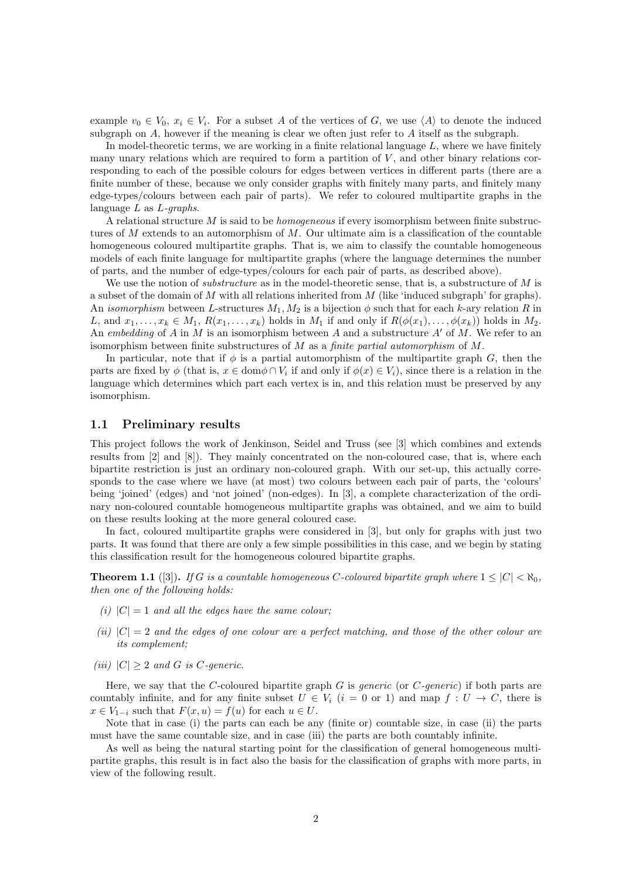example  $v_0 \in V_0$ ,  $x_i \in V_i$ . For a subset A of the vertices of G, we use  $\langle A \rangle$  to denote the induced subgraph on A, however if the meaning is clear we often just refer to A itself as the subgraph.

In model-theoretic terms, we are working in a finite relational language  $L$ , where we have finitely many unary relations which are required to form a partition of  $V$ , and other binary relations corresponding to each of the possible colours for edges between vertices in different parts (there are a finite number of these, because we only consider graphs with finitely many parts, and finitely many edge-types/colours between each pair of parts). We refer to coloured multipartite graphs in the language  $L$  as  $L$ -graphs.

A relational structure M is said to be homogeneous if every isomorphism between finite substructures of  $M$  extends to an automorphism of  $M$ . Our ultimate aim is a classification of the countable homogeneous coloured multipartite graphs. That is, we aim to classify the countable homogeneous models of each finite language for multipartite graphs (where the language determines the number of parts, and the number of edge-types/colours for each pair of parts, as described above).

We use the notion of *substructure* as in the model-theoretic sense, that is, a substructure of  $M$  is a subset of the domain of M with all relations inherited from  $M$  (like 'induced subgraph' for graphs). An isomorphism between L-structures  $M_1, M_2$  is a bijection  $\phi$  such that for each k-ary relation R in L, and  $x_1, \ldots, x_k \in M_1$ ,  $R(x_1, \ldots, x_k)$  holds in  $M_1$  if and only if  $R(\phi(x_1), \ldots, \phi(x_k))$  holds in  $M_2$ . An embedding of A in M is an isomorphism between A and a substructure  $A'$  of M. We refer to an isomorphism between finite substructures of  $M$  as a *finite partial automorphism* of  $M$ .

In particular, note that if  $\phi$  is a partial automorphism of the multipartite graph G, then the parts are fixed by  $\phi$  (that is,  $x \in \text{dom}\phi \cap V_i$  if and only if  $\phi(x) \in V_i$ ), since there is a relation in the language which determines which part each vertex is in, and this relation must be preserved by any isomorphism.

#### 1.1 Preliminary results

This project follows the work of Jenkinson, Seidel and Truss (see [3] which combines and extends results from [2] and [8]). They mainly concentrated on the non-coloured case, that is, where each bipartite restriction is just an ordinary non-coloured graph. With our set-up, this actually corresponds to the case where we have (at most) two colours between each pair of parts, the 'colours' being 'joined' (edges) and 'not joined' (non-edges). In [3], a complete characterization of the ordinary non-coloured countable homogeneous multipartite graphs was obtained, and we aim to build on these results looking at the more general coloured case.

In fact, coloured multipartite graphs were considered in [3], but only for graphs with just two parts. It was found that there are only a few simple possibilities in this case, and we begin by stating this classification result for the homogeneous coloured bipartite graphs.

**Theorem 1.1** ([3]). If G is a countable homogeneous C-coloured bipartite graph where  $1 \leq |C| < \aleph_0$ , then one of the following holds:

- (i)  $|C| = 1$  and all the edges have the same colour;
- (ii)  $|C| = 2$  and the edges of one colour are a perfect matching, and those of the other colour are its complement;
- (iii)  $|C| \geq 2$  and G is C-generic.

Here, we say that the C-coloured bipartite graph G is *generic* (or  $C$ -generic) if both parts are countably infinite, and for any finite subset  $U \in V_i$   $(i = 0 \text{ or } 1)$  and map  $f : U \to C$ , there is  $x \in V_{1-i}$  such that  $F(x, u) = f(u)$  for each  $u \in U$ .

Note that in case (i) the parts can each be any (finite or) countable size, in case (ii) the parts must have the same countable size, and in case (iii) the parts are both countably infinite.

As well as being the natural starting point for the classification of general homogeneous multipartite graphs, this result is in fact also the basis for the classification of graphs with more parts, in view of the following result.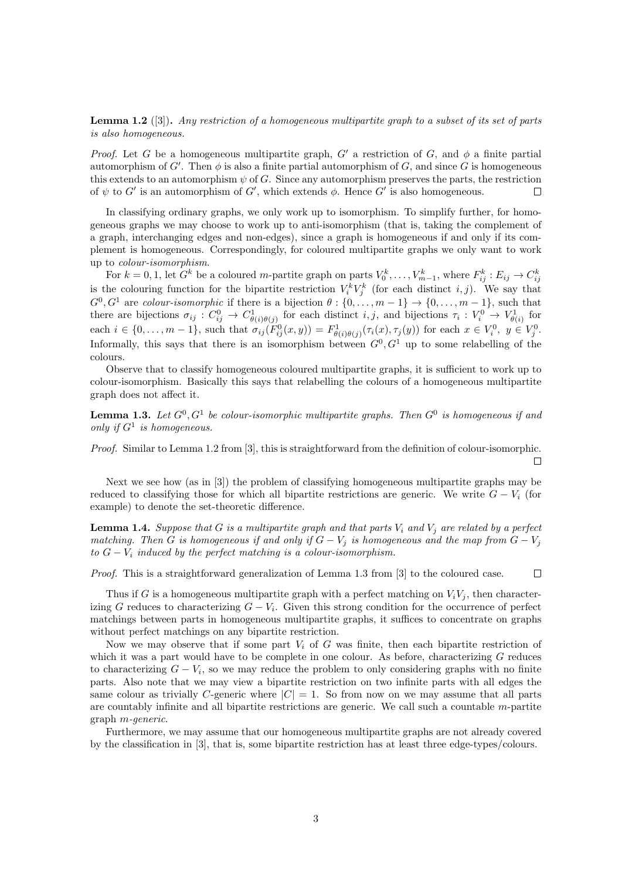**Lemma 1.2** ([3]). Any restriction of a homogeneous multipartite graph to a subset of its set of parts is also homogeneous.

*Proof.* Let G be a homogeneous multipartite graph, G' a restriction of G, and  $\phi$  a finite partial automorphism of G'. Then  $\phi$  is also a finite partial automorphism of G, and since G is homogeneous this extends to an automorphism  $\psi$  of G. Since any automorphism preserves the parts, the restriction of  $\psi$  to  $G'$  is an automorphism of  $G'$ , which extends  $\phi$ . Hence  $G'$  is also homogeneous.  $\Box$ 

In classifying ordinary graphs, we only work up to isomorphism. To simplify further, for homogeneous graphs we may choose to work up to anti-isomorphism (that is, taking the complement of a graph, interchanging edges and non-edges), since a graph is homogeneous if and only if its complement is homogeneous. Correspondingly, for coloured multipartite graphs we only want to work up to colour-isomorphism.

For  $k = 0, 1$ , let  $G^k$  be a coloured m-partite graph on parts  $V_0^k, \ldots, V_{m-1}^k$ , where  $F_{ij}^k : E_{ij} \to C_{ij}^k$ is the colouring function for the bipartite restriction  $V_i^k V_j^k$  (for each distinct *i, j*). We say that  $G^0, G^1$  are colour-isomorphic if there is a bijection  $\theta: \{0, \ldots, m-1\} \to \{0, \ldots, m-1\}$ , such that there are bijections  $\sigma_{ij}: C^0_{ij} \to C^1_{\theta(i)\theta(j)}$  for each distinct i, j, and bijections  $\tau_i: V_i^0 \to V_{\theta(i)}^1$  for each  $i \in \{0, \ldots, m-1\}$ , such that  $\sigma_{ij}(F_{ij}^0(x, y)) = F_{\theta(i)\theta(j)}^1(\tau_i(x), \tau_j(y))$  for each  $x \in V_i^0$ ,  $y \in V_j^0$ . Informally, this says that there is an isomorphism between  $G^0, G^1$  up to some relabelling of the colours.

Observe that to classify homogeneous coloured multipartite graphs, it is sufficient to work up to colour-isomorphism. Basically this says that relabelling the colours of a homogeneous multipartite graph does not affect it.

**Lemma 1.3.** Let  $G^0$ ,  $G^1$  be colour-isomorphic multipartite graphs. Then  $G^0$  is homogeneous if and only if  $G^1$  is homogeneous.

Proof. Similar to Lemma 1.2 from [3], this is straightforward from the definition of colour-isomorphic.  $\Box$ 

Next we see how (as in [3]) the problem of classifying homogeneous multipartite graphs may be reduced to classifying those for which all bipartite restrictions are generic. We write  $G - V_i$  (for example) to denote the set-theoretic difference.

**Lemma 1.4.** Suppose that G is a multipartite graph and that parts  $V_i$  and  $V_j$  are related by a perfect matching. Then G is homogeneous if and only if  $G - V_j$  is homogeneous and the map from  $G - V_j$ to  $G - V_i$  induced by the perfect matching is a colour-isomorphism.

Proof. This is a straightforward generalization of Lemma 1.3 from [3] to the coloured case.  $\Box$ 

Thus if G is a homogeneous multipartite graph with a perfect matching on  $V_iV_i$ , then characterizing G reduces to characterizing  $G - V_i$ . Given this strong condition for the occurrence of perfect matchings between parts in homogeneous multipartite graphs, it suffices to concentrate on graphs without perfect matchings on any bipartite restriction.

Now we may observe that if some part  $V_i$  of G was finite, then each bipartite restriction of which it was a part would have to be complete in one colour. As before, characterizing G reduces to characterizing  $G - V_i$ , so we may reduce the problem to only considering graphs with no finite parts. Also note that we may view a bipartite restriction on two infinite parts with all edges the same colour as trivially C-generic where  $|C| = 1$ . So from now on we may assume that all parts are countably infinite and all bipartite restrictions are generic. We call such a countable  $m$ -partite graph m-generic.

Furthermore, we may assume that our homogeneous multipartite graphs are not already covered by the classification in [3], that is, some bipartite restriction has at least three edge-types/colours.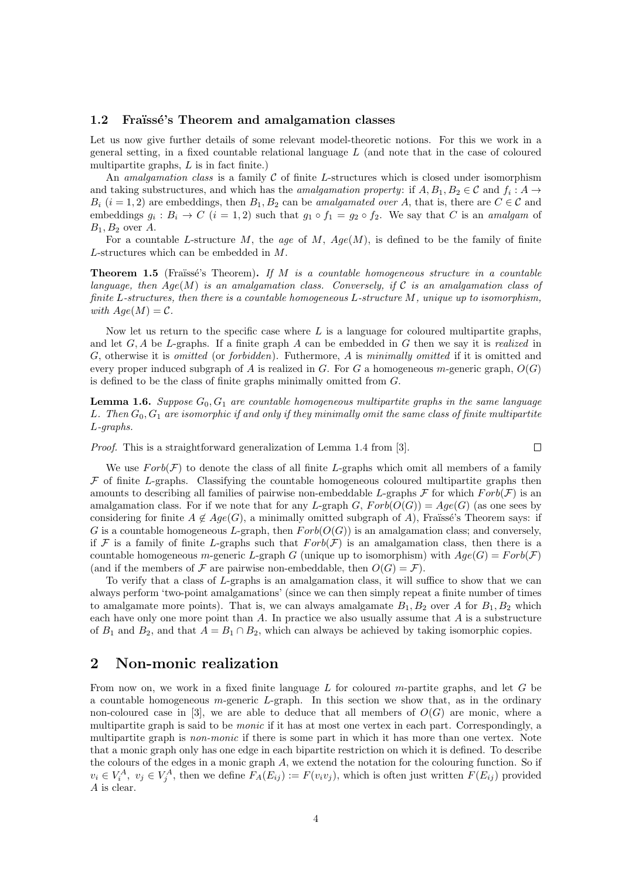#### 1.2 Fraüssé's Theorem and amalgamation classes

Let us now give further details of some relevant model-theoretic notions. For this we work in a general setting, in a fixed countable relational language L (and note that in the case of coloured multipartite graphs, L is in fact finite.)

An *amalgamation class* is a family  $\mathcal C$  of finite L-structures which is closed under isomorphism and taking substructures, and which has the *amalgamation property*: if  $A, B_1, B_2 \in \mathcal{C}$  and  $f_i : A \to$  $B_i$  (i = 1, 2) are embeddings, then  $B_1, B_2$  can be amalgamated over A, that is, there are  $C \in \mathcal{C}$  and embeddings  $g_i : B_i \to C$   $(i = 1, 2)$  such that  $g_1 \circ f_1 = g_2 \circ f_2$ . We say that C is an amalgam of  $B_1, B_2$  over A.

For a countable L-structure M, the age of M,  $Age(M)$ , is defined to be the family of finite L-structures which can be embedded in M.

**Theorem 1.5** (Fraüssé's Theorem). If M is a countable homogeneous structure in a countable language, then  $Age(M)$  is an amalgamation class. Conversely, if C is an amalgamation class of finite L-structures, then there is a countable homogeneous L-structure M, unique up to isomorphism, with  $Age(M) = C$ .

Now let us return to the specific case where  $L$  is a language for coloured multipartite graphs, and let  $G, A$  be L-graphs. If a finite graph A can be embedded in G then we say it is *realized* in G, otherwise it is omitted (or forbidden). Futhermore, A is minimally omitted if it is omitted and every proper induced subgraph of A is realized in G. For G a homogeneous m-generic graph,  $O(G)$ is defined to be the class of finite graphs minimally omitted from G.

**Lemma 1.6.** Suppose  $G_0, G_1$  are countable homogeneous multipartite graphs in the same language L. Then  $G_0, G_1$  are isomorphic if and only if they minimally omit the same class of finite multipartite L-graphs.

 $\Box$ 

Proof. This is a straightforward generalization of Lemma 1.4 from [3].

We use  $Forb(\mathcal{F})$  to denote the class of all finite L-graphs which omit all members of a family  $\mathcal F$  of finite L-graphs. Classifying the countable homogeneous coloured multipartite graphs then amounts to describing all families of pairwise non-embeddable L-graphs  $\mathcal F$  for which  $Forb(\mathcal F)$  is an amalgamation class. For if we note that for any L-graph G,  $Forb(O(G)) = Age(G)$  (as one sees by considering for finite  $A \notin Age(G)$ , a minimally omitted subgraph of A), Fraïssé's Theorem says: if G is a countable homogeneous L-graph, then  $Forb(O(G))$  is an amalgamation class; and conversely, if F is a family of finite L-graphs such that  $Forb(\mathcal{F})$  is an amalgamation class, then there is a countable homogeneous m-generic L-graph G (unique up to isomorphism) with  $Age(G) = Forb(\mathcal{F})$ (and if the members of  $\mathcal F$  are pairwise non-embeddable, then  $O(G) = \mathcal F$ ).

To verify that a class of L-graphs is an amalgamation class, it will suffice to show that we can always perform 'two-point amalgamations' (since we can then simply repeat a finite number of times to amalgamate more points). That is, we can always amalgamate  $B_1, B_2$  over A for  $B_1, B_2$  which each have only one more point than  $A$ . In practice we also usually assume that  $A$  is a substructure of  $B_1$  and  $B_2$ , and that  $A = B_1 \cap B_2$ , which can always be achieved by taking isomorphic copies.

## 2 Non-monic realization

From now on, we work in a fixed finite language L for coloured m-partite graphs, and let G be a countable homogeneous  $m$ -generic  $L$ -graph. In this section we show that, as in the ordinary non-coloured case in [3], we are able to deduce that all members of  $O(G)$  are monic, where a multipartite graph is said to be monic if it has at most one vertex in each part. Correspondingly, a multipartite graph is *non-monic* if there is some part in which it has more than one vertex. Note that a monic graph only has one edge in each bipartite restriction on which it is defined. To describe the colours of the edges in a monic graph A, we extend the notation for the colouring function. So if  $v_i \in V_i^A$ ,  $v_j \in V_j^A$ , then we define  $F_A(E_{ij}) := F(v_i v_j)$ , which is often just written  $F(E_{ij})$  provided A is clear.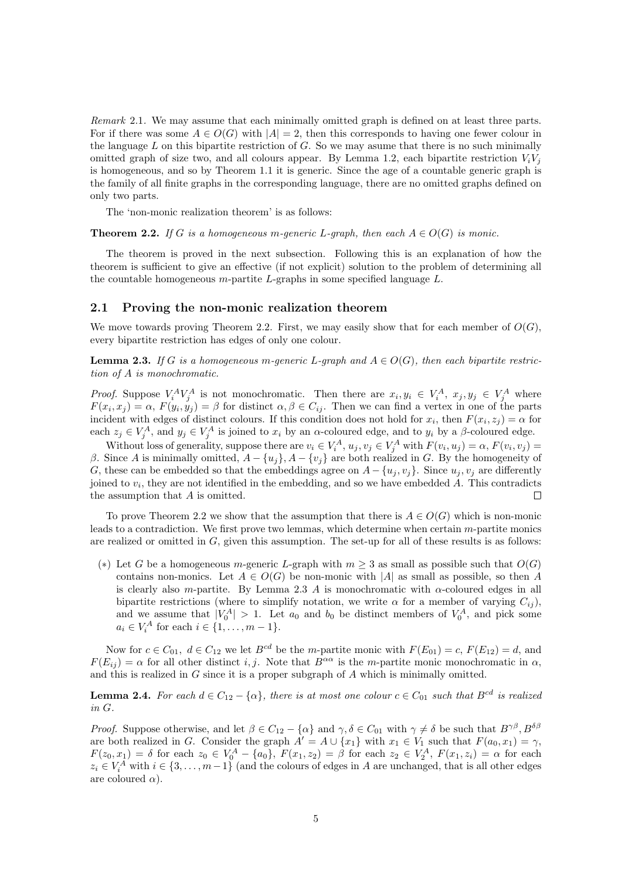Remark 2.1. We may assume that each minimally omitted graph is defined on at least three parts. For if there was some  $A \in O(G)$  with  $|A| = 2$ , then this corresponds to having one fewer colour in the language  $L$  on this bipartite restriction of  $G$ . So we may asume that there is no such minimally omitted graph of size two, and all colours appear. By Lemma 1.2, each bipartite restriction  $V_iV_i$ is homogeneous, and so by Theorem 1.1 it is generic. Since the age of a countable generic graph is the family of all finite graphs in the corresponding language, there are no omitted graphs defined on only two parts.

The 'non-monic realization theorem' is as follows:

**Theorem 2.2.** If G is a homogeneous m-generic L-graph, then each  $A \in O(G)$  is monic.

The theorem is proved in the next subsection. Following this is an explanation of how the theorem is sufficient to give an effective (if not explicit) solution to the problem of determining all the countable homogeneous  $m$ -partite L-graphs in some specified language  $L$ .

#### 2.1 Proving the non-monic realization theorem

We move towards proving Theorem 2.2. First, we may easily show that for each member of  $O(G)$ , every bipartite restriction has edges of only one colour.

**Lemma 2.3.** If G is a homogeneous m-generic L-graph and  $A \in O(G)$ , then each bipartite restriction of A is monochromatic.

*Proof.* Suppose  $V_i^A V_j^A$  is not monochromatic. Then there are  $x_i, y_i \in V_i^A$ ,  $x_j, y_j \in V_j^A$  where  $F(x_i, x_j) = \alpha$ ,  $F(y_i, y_j) = \beta$  for distinct  $\alpha, \beta \in C_{ij}$ . Then we can find a vertex in one of the parts incident with edges of distinct colours. If this condition does not hold for  $x_i$ , then  $F(x_i, z_j) = \alpha$  for each  $z_j \in V_j^A$ , and  $y_j \in V_j^A$  is joined to  $x_i$  by an  $\alpha$ -coloured edge, and to  $y_i$  by a  $\beta$ -coloured edge.

Without loss of generality, suppose there are  $v_i \in V_i^A$ ,  $u_j, v_j \in V_j^A$  with  $F(v_i, u_j) = \alpha$ ,  $F(v_i, v_j) =$ β. Since A is minimally omitted,  $A - \{u_j\}$ ,  $A - \{v_j\}$  are both realized in G. By the homogeneity of G, these can be embedded so that the embeddings agree on  $A - \{u_i, v_i\}$ . Since  $u_i, v_j$  are differently joined to  $v_i$ , they are not identified in the embedding, and so we have embedded A. This contradicts the assumption that A is omitted.  $\Box$ 

To prove Theorem 2.2 we show that the assumption that there is  $A \in O(G)$  which is non-monic leads to a contradiction. We first prove two lemmas, which determine when certain m-partite monics are realized or omitted in  $G$ , given this assumption. The set-up for all of these results is as follows:

(\*) Let G be a homogeneous m-generic L-graph with  $m \geq 3$  as small as possible such that  $O(G)$ contains non-monics. Let  $A \in O(G)$  be non-monic with |A| as small as possible, so then A is clearly also m-partite. By Lemma 2.3 A is monochromatic with  $\alpha$ -coloured edges in all bipartite restrictions (where to simplify notation, we write  $\alpha$  for a member of varying  $C_{ij}$ ), and we assume that  $|V_0^A| > 1$ . Let  $a_0$  and  $b_0$  be distinct members of  $V_0^A$ , and pick some  $a_i \in V_i^A$  for each  $i \in \{1, \ldots, m-1\}.$ 

Now for  $c \in C_{01}$ ,  $d \in C_{12}$  we let  $B^{cd}$  be the m-partite monic with  $F(E_{01}) = c$ ,  $F(E_{12}) = d$ , and  $F(E_{ii}) = \alpha$  for all other distinct i, j. Note that  $B^{\alpha\alpha}$  is the m-partite monic monochromatic in  $\alpha$ , and this is realized in  $G$  since it is a proper subgraph of  $A$  which is minimally omitted.

**Lemma 2.4.** For each  $d \in C_{12} - {\alpha}$ , there is at most one colour  $c \in C_{01}$  such that  $B^{cd}$  is realized in G.

*Proof.* Suppose otherwise, and let  $\beta \in C_{12} - {\alpha}$  and  $\gamma, \delta \in C_{01}$  with  $\gamma \neq \delta$  be such that  $B^{\gamma\beta}, B^{\delta\beta}$ are both realized in G. Consider the graph  $A' = A \cup \{x_1\}$  with  $x_1 \in V_1$  such that  $F(a_0, x_1) = \gamma$ ,  $F(z_0, x_1) = \delta$  for each  $z_0 \in V_0^A - \{a_0\}, F(x_1, z_2) = \beta$  for each  $z_2 \in V_2^A$ ,  $F(x_1, z_i) = \alpha$  for each  $z_i \in V_i^A$  with  $i \in \{3, \ldots, m-1\}$  (and the colours of edges in A are unchanged, that is all other edges are coloured  $\alpha$ ).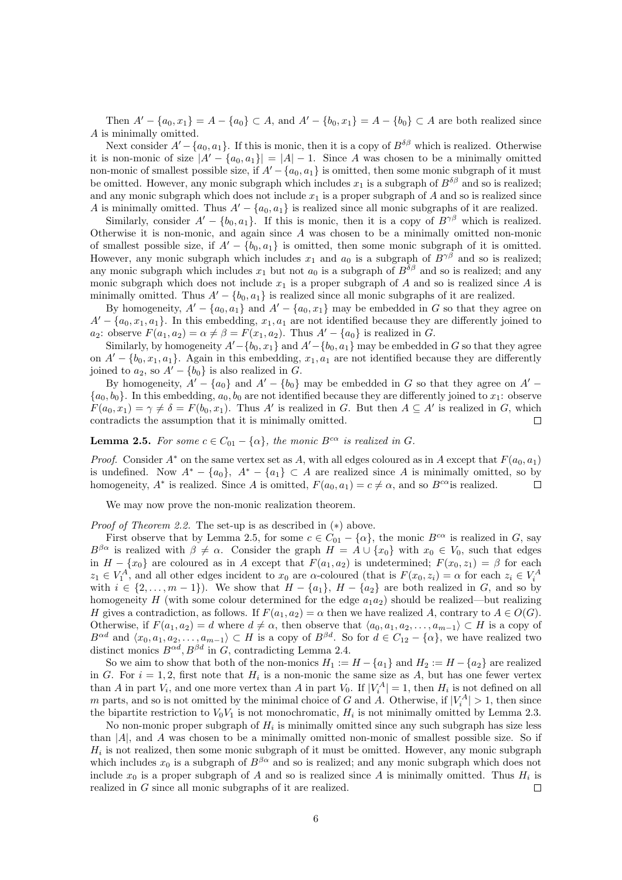Then  $A' - \{a_0, x_1\} = A - \{a_0\} \subset A$ , and  $A' - \{b_0, x_1\} = A - \{b_0\} \subset A$  are both realized since A is minimally omitted.

Next consider  $A' - \{a_0, a_1\}$ . If this is monic, then it is a copy of  $B^{\delta\beta}$  which is realized. Otherwise it is non-monic of size  $|A' - \{a_0, a_1\}| = |A| - 1$ . Since A was chosen to be a minimally omitted non-monic of smallest possible size, if  $A' - \{a_0, a_1\}$  is omitted, then some monic subgraph of it must be omitted. However, any monic subgraph which includes  $x_1$  is a subgraph of  $B^{\delta\beta}$  and so is realized; and any monic subgraph which does not include  $x_1$  is a proper subgraph of A and so is realized since A is minimally omitted. Thus  $A' - \{a_0, a_1\}$  is realized since all monic subgraphs of it are realized.

Similarly, consider  $A' - \{b_0, a_1\}$ . If this is monic, then it is a copy of  $B^{\gamma\beta}$  which is realized. Otherwise it is non-monic, and again since A was chosen to be a minimally omitted non-monic of smallest possible size, if  $A' - \{b_0, a_1\}$  is omitted, then some monic subgraph of it is omitted. However, any monic subgraph which includes  $x_1$  and  $a_0$  is a subgraph of  $B^{\gamma\beta}$  and so is realized; any monic subgraph which includes  $x_1$  but not  $a_0$  is a subgraph of  $B^{\delta\beta}$  and so is realized; and any monic subgraph which does not include  $x_1$  is a proper subgraph of A and so is realized since A is minimally omitted. Thus  $A' - \{b_0, a_1\}$  is realized since all monic subgraphs of it are realized.

By homogeneity,  $A' - \{a_0, a_1\}$  and  $A' - \{a_0, x_1\}$  may be embedded in G so that they agree on  $A' - \{a_0, x_1, a_1\}$ . In this embedding,  $x_1, a_1$  are not identified because they are differently joined to  $a_2$ : observe  $F(a_1, a_2) = \alpha \neq \beta = F(x_1, a_2)$ . Thus  $A' - \{a_0\}$  is realized in G.

Similarly, by homogeneity  $A'-\{b_0, x_1\}$  and  $A'-\{b_0, a_1\}$  may be embedded in G so that they agree on  $A' - \{b_0, x_1, a_1\}$ . Again in this embedding,  $x_1, a_1$  are not identified because they are differently joined to  $a_2$ , so  $A' - \{b_0\}$  is also realized in G.

By homogeneity,  $A'-\{a_0\}$  and  $A'-\{b_0\}$  may be embedded in G so that they agree on  $A'-\{b_0\}$  ${a_0, b_0}$ . In this embedding,  $a_0, b_0$  are not identified because they are differently joined to  $x_1$ : observe  $F(a_0, x_1) = \gamma \neq \delta = F(b_0, x_1)$ . Thus A' is realized in G. But then  $A \subseteq A'$  is realized in G, which contradicts the assumption that it is minimally omitted.  $\Box$ 

**Lemma 2.5.** For some  $c \in C_{01} - {\alpha}$ , the monic  $B^{c\alpha}$  is realized in G.

*Proof.* Consider  $A^*$  on the same vertex set as A, with all edges coloured as in A except that  $F(a_0, a_1)$ is undefined. Now  $A^* - \{a_0\}, A^* - \{a_1\} \subset A$  are realized since A is minimally omitted, so by homogeneity,  $A^*$  is realized. Since A is omitted,  $F(a_0, a_1) = c \neq \alpha$ , and so  $B^{c\alpha}$  is realized.  $\Box$ 

We may now prove the non-monic realization theorem.

Proof of Theorem 2.2. The set-up is as described in (∗) above.

First observe that by Lemma 2.5, for some  $c \in C_{01} - {\alpha}$ , the monic  $B^{c\alpha}$  is realized in G, say  $B^{\beta\alpha}$  is realized with  $\beta \neq \alpha$ . Consider the graph  $H = A \cup \{x_0\}$  with  $x_0 \in V_0$ , such that edges in  $H - \{x_0\}$  are coloured as in A except that  $F(a_1, a_2)$  is undetermined;  $F(x_0, z_1) = \beta$  for each  $z_1 \in V_1^A$ , and all other edges incident to  $x_0$  are  $\alpha$ -coloured (that is  $F(x_0, z_i) = \alpha$  for each  $z_i \in V_i^A$ with  $i \in \{2, ..., m-1\}$ . We show that  $H - \{a_1\}$ ,  $H - \{a_2\}$  are both realized in G, and so by homogeneity H (with some colour determined for the edge  $a_1a_2$ ) should be realized—but realizing H gives a contradiction, as follows. If  $F(a_1, a_2) = \alpha$  then we have realized A, contrary to  $A \in O(G)$ . Otherwise, if  $F(a_1, a_2) = d$  where  $d \neq \alpha$ , then observe that  $\langle a_0, a_1, a_2, \ldots, a_{m-1} \rangle \subset H$  is a copy of  $B^{\alpha d}$  and  $\langle x_0, a_1, a_2, \ldots, a_{m-1}\rangle \subset H$  is a copy of  $B^{\beta d}$ . So for  $d \in C_{12} - {\alpha}$ , we have realized two distinct monics  $B^{\alpha d}$ ,  $B^{\beta d}$  in G, contradicting Lemma 2.4.

So we aim to show that both of the non-monics  $H_1 := H - \{a_1\}$  and  $H_2 := H - \{a_2\}$  are realized in G. For  $i = 1, 2$ , first note that  $H_i$  is a non-monic the same size as A, but has one fewer vertex than A in part  $V_i$ , and one more vertex than A in part  $V_0$ . If  $|V_i^A|=1$ , then  $H_i$  is not defined on all m parts, and so is not omitted by the minimal choice of G and A. Otherwise, if  $|V_i^A| > 1$ , then since the bipartite restriction to  $V_0V_1$  is not monochromatic,  $H_i$  is not minimally omitted by Lemma 2.3.

No non-monic proper subgraph of  $H_i$  is minimally omitted since any such subgraph has size less than |A|, and A was chosen to be a minimally omitted non-monic of smallest possible size. So if  $H_i$  is not realized, then some monic subgraph of it must be omitted. However, any monic subgraph which includes  $x_0$  is a subgraph of  $B^{\beta\alpha}$  and so is realized; and any monic subgraph which does not include  $x_0$  is a proper subgraph of A and so is realized since A is minimally omitted. Thus  $H_i$  is realized in G since all monic subgraphs of it are realized.  $\Box$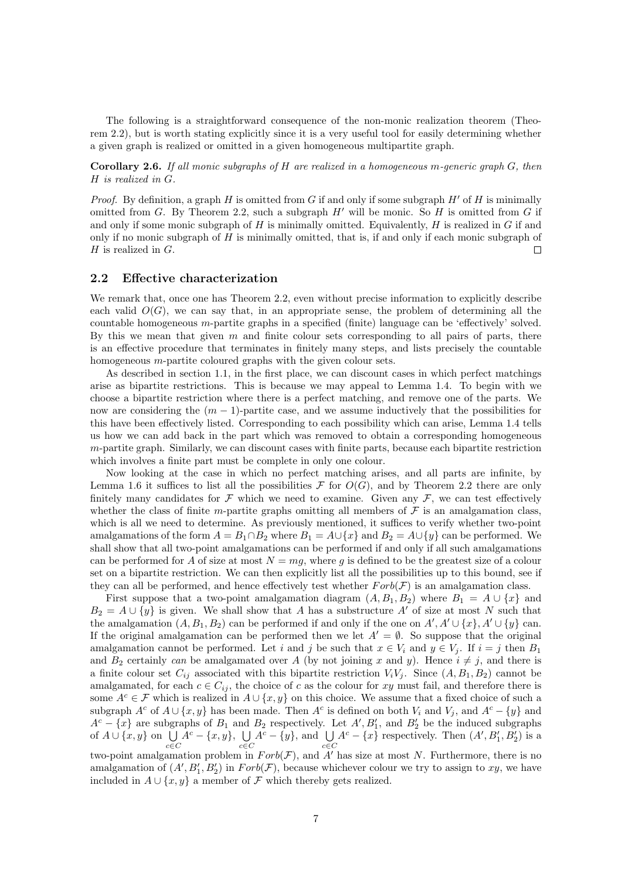The following is a straightforward consequence of the non-monic realization theorem (Theorem 2.2), but is worth stating explicitly since it is a very useful tool for easily determining whether a given graph is realized or omitted in a given homogeneous multipartite graph.

**Corollary 2.6.** If all monic subgraphs of H are realized in a homogeneous m-generic graph  $G$ , then H is realized in G.

*Proof.* By definition, a graph H is omitted from G if and only if some subgraph  $H'$  of H is minimally omitted from G. By Theorem 2.2, such a subgraph  $H'$  will be monic. So H is omitted from G if and only if some monic subgraph of  $H$  is minimally omitted. Equivalently,  $H$  is realized in  $G$  if and only if no monic subgraph of  $H$  is minimally omitted, that is, if and only if each monic subgraph of  $H$  is realized in  $G$ .  $\Box$ 

#### 2.2 Effective characterization

We remark that, once one has Theorem 2.2, even without precise information to explicitly describe each valid  $O(G)$ , we can say that, in an appropriate sense, the problem of determining all the countable homogeneous m-partite graphs in a specified (finite) language can be 'effectively' solved. By this we mean that given  $m$  and finite colour sets corresponding to all pairs of parts, there is an effective procedure that terminates in finitely many steps, and lists precisely the countable homogeneous *m*-partite coloured graphs with the given colour sets.

As described in section 1.1, in the first place, we can discount cases in which perfect matchings arise as bipartite restrictions. This is because we may appeal to Lemma 1.4. To begin with we choose a bipartite restriction where there is a perfect matching, and remove one of the parts. We now are considering the  $(m - 1)$ -partite case, and we assume inductively that the possibilities for this have been effectively listed. Corresponding to each possibility which can arise, Lemma 1.4 tells us how we can add back in the part which was removed to obtain a corresponding homogeneous m-partite graph. Similarly, we can discount cases with finite parts, because each bipartite restriction which involves a finite part must be complete in only one colour.

Now looking at the case in which no perfect matching arises, and all parts are infinite, by Lemma 1.6 it suffices to list all the possibilities  $\mathcal F$  for  $O(G)$ , and by Theorem 2.2 there are only finitely many candidates for  $\mathcal F$  which we need to examine. Given any  $\mathcal F$ , we can test effectively whether the class of finite m-partite graphs omitting all members of  $\mathcal F$  is an amalgamation class, which is all we need to determine. As previously mentioned, it suffices to verify whether two-point amalgamations of the form  $A = B_1 \cap B_2$  where  $B_1 = A \cup \{x\}$  and  $B_2 = A \cup \{y\}$  can be performed. We shall show that all two-point amalgamations can be performed if and only if all such amalgamations can be performed for A of size at most  $N = mg$ , where g is defined to be the greatest size of a colour set on a bipartite restriction. We can then explicitly list all the possibilities up to this bound, see if they can all be performed, and hence effectively test whether  $Forb(\mathcal{F})$  is an amalgamation class.

First suppose that a two-point amalgamation diagram  $(A, B_1, B_2)$  where  $B_1 = A \cup \{x\}$  and  $B_2 = A \cup \{y\}$  is given. We shall show that A has a substructure A' of size at most N such that the amalgamation  $(A, B_1, B_2)$  can be performed if and only if the one on  $A', A' \cup \{x\}, A' \cup \{y\}$  can. If the original amalgamation can be performed then we let  $A' = \emptyset$ . So suppose that the original amalgamation cannot be performed. Let i and j be such that  $x \in V_i$  and  $y \in V_j$ . If  $i = j$  then  $B_1$ and  $B_2$  certainly can be amalgamated over A (by not joining x and y). Hence  $i \neq j$ , and there is a finite colour set  $C_{ij}$  associated with this bipartite restriction  $V_iV_j$ . Since  $(A, B_1, B_2)$  cannot be amalgamated, for each  $c \in C_{ij}$ , the choice of c as the colour for xy must fail, and therefore there is some  $A^c \in \mathcal{F}$  which is realized in  $A \cup \{x, y\}$  on this choice. We assume that a fixed choice of such a subgraph  $A^c$  of  $A \cup \{x, y\}$  has been made. Then  $A^c$  is defined on both  $V_i$  and  $V_j$ , and  $A^c - \{y\}$  and  $A<sup>c</sup> - \{x\}$  are subgraphs of  $B<sub>1</sub>$  and  $B<sub>2</sub>$  respectively. Let  $A', B'_{1}$ , and  $B'_{2}$  be the induced subgraphs of  $A \cup \{x, y\}$  on  $\bigcup$ c∈C  $A^c - \{x, y\}, \ \bigcup$ c∈C  $A^c - \{y\}$ , and  $\bigcup$ c∈C  $A<sup>c</sup> - \{x\}$  respectively. Then  $(A', B'_1, B'_2)$  is a two-point amalgamation problem in  $Forb(\mathcal{F})$ , and A' has size at most N. Furthermore, there is no

amalgamation of  $(A', B'_1, B'_2)$  in  $Forb(\mathcal{F})$ , because whichever colour we try to assign to xy, we have included in  $A \cup \{x, y\}$  a member of F which thereby gets realized.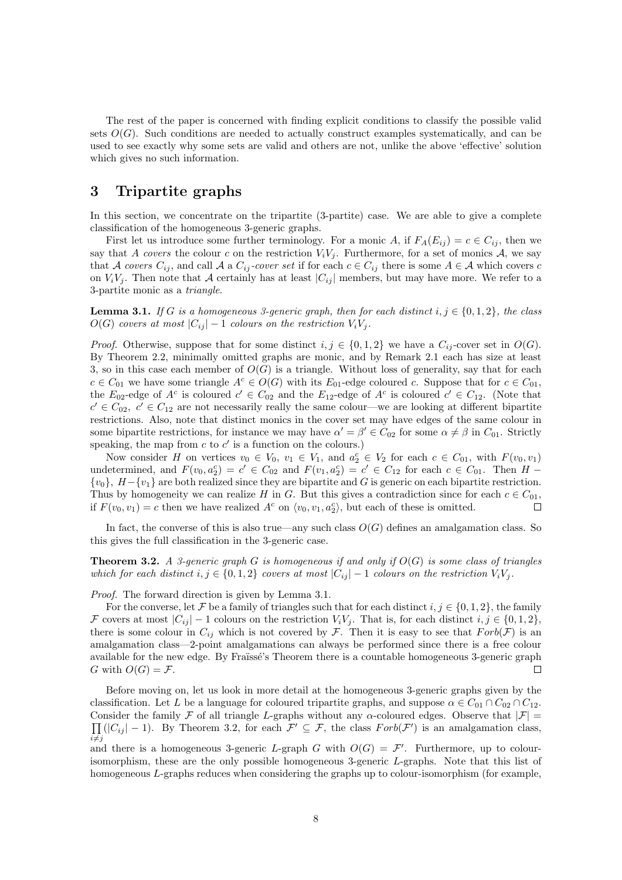The rest of the paper is concerned with finding explicit conditions to classify the possible valid sets  $O(G)$ . Such conditions are needed to actually construct examples systematically, and can be used to see exactly why some sets are valid and others are not, unlike the above 'effective' solution which gives no such information.

## 3 Tripartite graphs

In this section, we concentrate on the tripartite (3-partite) case. We are able to give a complete classification of the homogeneous 3-generic graphs.

First let us introduce some further terminology. For a monic A, if  $F_A(E_{ij}) = c \in C_{ij}$ , then we say that A covers the colour c on the restriction  $V_iV_j$ . Furthermore, for a set of monics A, we say that A covers  $C_{ij}$ , and call A a  $C_{ij}$ -cover set if for each  $c \in C_{ij}$  there is some  $A \in \mathcal{A}$  which covers c on  $V_iV_j$ . Then note that A certainly has at least  $|C_{ij}|$  members, but may have more. We refer to a 3-partite monic as a triangle.

**Lemma 3.1.** If G is a homogeneous 3-generic graph, then for each distinct  $i, j \in \{0, 1, 2\}$ , the class  $O(G)$  covers at most  $|C_{ij}| - 1$  colours on the restriction  $V_i V_j$ .

*Proof.* Otherwise, suppose that for some distinct  $i, j \in \{0, 1, 2\}$  we have a  $C_{ij}$ -cover set in  $O(G)$ . By Theorem 2.2, minimally omitted graphs are monic, and by Remark 2.1 each has size at least 3, so in this case each member of  $O(G)$  is a triangle. Without loss of generality, say that for each  $c \in C_{01}$  we have some triangle  $A^c \in O(G)$  with its  $E_{01}$ -edge coloured c. Suppose that for  $c \in C_{01}$ , the  $E_{02}$ -edge of  $A^c$  is coloured  $c' \in C_{02}$  and the  $E_{12}$ -edge of  $A^c$  is coloured  $c' \in C_{12}$ . (Note that  $c' \in C_{02}$ ,  $c' \in C_{12}$  are not necessarily really the same colour—we are looking at different bipartite restrictions. Also, note that distinct monics in the cover set may have edges of the same colour in some bipartite restrictions, for instance we may have  $\alpha' = \beta' \in C_{02}$  for some  $\alpha \neq \beta$  in  $C_{01}$ . Strictly speaking, the map from  $c$  to  $c'$  is a function on the colours.)

Now consider H on vertices  $v_0 \in V_0$ ,  $v_1 \in V_1$ , and  $a_2^c \in V_2$  for each  $c \in C_{01}$ , with  $F(v_0, v_1)$ undetermined, and  $F(v_0, a_2^c) = c' \in C_{02}$  and  $F(v_1, a_2^c) = c' \in C_{12}$  for each  $c \in C_{01}$ . Then  $H \{v_0\}, H-\{v_1\}$  are both realized since they are bipartite and G is generic on each bipartite restriction. Thus by homogeneity we can realize H in G. But this gives a contradiction since for each  $c \in C_{01}$ , if  $F(v_0, v_1) = c$  then we have realized  $A^c$  on  $\langle v_0, v_1, a_2^c \rangle$ , but each of these is omitted.  $\Box$ 

In fact, the converse of this is also true—any such class  $O(G)$  defines an amalgamation class. So this gives the full classification in the 3-generic case.

**Theorem 3.2.** A 3-generic graph G is homogeneous if and only if  $O(G)$  is some class of triangles which for each distinct  $i, j \in \{0, 1, 2\}$  covers at most  $|C_{ij}| - 1$  colours on the restriction  $V_i V_j$ .

Proof. The forward direction is given by Lemma 3.1.

For the converse, let F be a family of triangles such that for each distinct  $i, j \in \{0, 1, 2\}$ , the family F covers at most  $|C_{ij}| - 1$  colours on the restriction  $V_i V_j$ . That is, for each distinct  $i, j \in \{0, 1, 2\}$ , there is some colour in  $C_{ij}$  which is not covered by F. Then it is easy to see that  $Forb(\mathcal{F})$  is an amalgamation class—2-point amalgamations can always be performed since there is a free colour available for the new edge. By Fraïssé's Theorem there is a countable homogeneous 3-generic graph G with  $O(G) = \mathcal{F}$ .  $\Box$ 

Before moving on, let us look in more detail at the homogeneous 3-generic graphs given by the classification. Let L be a language for coloured tripartite graphs, and suppose  $\alpha \in C_{01} \cap C_{02} \cap C_{12}$ . Consider the family  $\Pi$ F of all triangle L-graphs without any  $\alpha$ -coloured edges. Observe that  $|\mathcal{F}| =$  $\prod_{i \neq j}(|C_{ij}| - 1)$ . By Theorem 3.2, for each  $\mathcal{F}' \subseteq \mathcal{F}$ , the class  $Forb(\mathcal{F}')$  is an amalgamation class,

and there is a homogeneous 3-generic L-graph G with  $O(G) = \mathcal{F}'$ . Furthermore, up to colourisomorphism, these are the only possible homogeneous 3-generic L-graphs. Note that this list of homogeneous L-graphs reduces when considering the graphs up to colour-isomorphism (for example,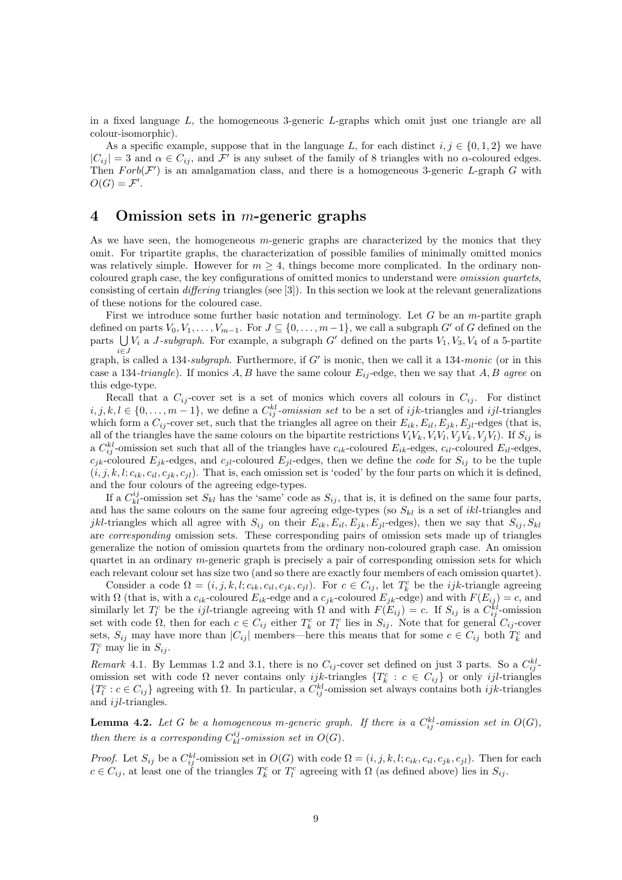in a fixed language L, the homogeneous 3-generic L-graphs which omit just one triangle are all colour-isomorphic).

As a specific example, suppose that in the language L, for each distinct  $i, j \in \{0, 1, 2\}$  we have  $|C_{ij}| = 3$  and  $\alpha \in C_{ij}$ , and  $\mathcal{F}'$  is any subset of the family of 8 triangles with no  $\alpha$ -coloured edges. Then  $Forb(\mathcal{F}')$  is an amalgamation class, and there is a homogeneous 3-generic L-graph G with  $O(G) = \mathcal{F}'$ .

## 4 Omission sets in  $m$ -generic graphs

As we have seen, the homogeneous  $m$ -generic graphs are characterized by the monics that they omit. For tripartite graphs, the characterization of possible families of minimally omitted monics was relatively simple. However for  $m \geq 4$ , things become more complicated. In the ordinary noncoloured graph case, the key configurations of omitted monics to understand were omission quartets, consisting of certain differing triangles (see [3]). In this section we look at the relevant generalizations of these notions for the coloured case.

First we introduce some further basic notation and terminology. Let  $G$  be an m-partite graph defined on parts  $V_0, V_1, \ldots, V_{m-1}$ . For  $J \subseteq \{0, \ldots, m-1\}$ , we call a subgraph G' of G defined on the parts  $\bigcup V_i$  a *J-subgraph*. For example, a subgraph G' defined on the parts  $V_1, V_3, V_4$  of a 5-partite i∈J graph, is called a 134-subgraph. Furthermore, if  $G'$  is monic, then we call it a 134-monic (or in this case a 134-triangle). If monics A, B have the same colour  $E_{ij}$ -edge, then we say that A, B agree on

this edge-type.

Recall that a  $C_{ij}$ -cover set is a set of monics which covers all colours in  $C_{ij}$ . For distinct  $i, j, k, l \in \{0, \ldots, m-1\}$ , we define a  $C_{ij}^{kl}$ -omission set to be a set of ijk-triangles and ijl-triangles which form a  $C_{ij}$ -cover set, such that the triangles all agree on their  $E_{ik}$ ,  $E_{il}$ ,  $E_{jk}$ ,  $E_{jl}$ -edges (that is, all of the triangles have the same colours on the bipartite restrictions  $V_iV_k, V_iV_l, V_jV_k, V_jV_l$ ). If  $S_{ij}$  is a  $C_{ij}^{kl}$ -omission set such that all of the triangles have  $c_{ik}$ -coloured  $E_{ik}$ -edges,  $c_{il}$ -coloured  $E_{il}$ -edges,  $c_{jk}$ -coloured  $E_{jk}$ -edges, and  $c_{jl}$ -coloured  $E_{jl}$ -edges, then we define the *code* for  $S_{ij}$  to be the tuple  $(i, j, k, l; c_{ik}, c_{il}, c_{jk}, c_{jl})$ . That is, each omission set is 'coded' by the four parts on which it is defined, and the four colours of the agreeing edge-types.

If a  $C_{kl}^{ij}$ -omission set  $S_{kl}$  has the 'same' code as  $S_{ij}$ , that is, it is defined on the same four parts, and has the same colours on the same four agreeing edge-types (so  $S_{kl}$  is a set of *ikl*-triangles and jkl-triangles which all agree with  $S_{ij}$  on their  $E_{ik}, E_{il}, E_{jk}, E_{jl}$ -edges), then we say that  $S_{ij}, S_{kl}$ are corresponding omission sets. These corresponding pairs of omission sets made up of triangles generalize the notion of omission quartets from the ordinary non-coloured graph case. An omission quartet in an ordinary  $m$ -generic graph is precisely a pair of corresponding omission sets for which each relevant colour set has size two (and so there are exactly four members of each omission quartet).

Consider a code  $\Omega = (i, j, k, l; c_{ik}, c_{il}, c_{jk}, c_{jl})$ . For  $c \in C_{ij}$ , let  $T_k^c$  be the *ijk*-triangle agreeing with  $\Omega$  (that is, with a  $c_{ik}$ -coloured  $E_{ik}$ -edge and a  $c_{jk}$ -coloured  $E_{jk}$ -edge) and with  $F(E_{ij}) = c$ , and similarly let  $T_l^c$  be the *ijl*-triangle agreeing with  $\Omega$  and with  $F(E_{ij}) = c$ . If  $S_{ij}$  is a  $C_{ij}^{kl}$ -omission set with code  $\Omega$ , then for each  $c \in C_{ij}$  either  $T_k^c$  or  $T_l^c$  lies in  $S_{ij}$ . Note that for general  $C_{ij}$ -cover sets,  $S_{ij}$  may have more than  $|C_{ij}|$  members—here this means that for some  $c \in C_{ij}$  both  $T_k^c$  and  $T_l^c$  may lie in  $S_{ij}$ .

Remark 4.1. By Lemmas 1.2 and 3.1, there is no  $C_{ij}$ -cover set defined on just 3 parts. So a  $C_{ij}^{kl}$ omission set with code  $\Omega$  never contains only *ijk*-triangles  $\{T_k^c : c \in C_{ij}\}$  or only *ijl*-triangles  ${T_l^c: c \in C_{ij}}$  agreeing with  $\Omega$ . In particular, a  $C_{ij}^{kl}$ -omission set always contains both *ijk*-triangles and ijl-triangles.

**Lemma 4.2.** Let G be a homogeneous m-generic graph. If there is a  $C_{ij}^{kl}$ -omission set in  $O(G)$ , then there is a corresponding  $C_{kl}^{ij}$ -omission set in  $O(G)$ .

*Proof.* Let  $S_{ij}$  be a  $C_{ij}^{kl}$ -omission set in  $O(G)$  with code  $\Omega = (i, j, k, l; c_{ik}, c_{il}, c_{jk}, c_{jl})$ . Then for each  $c \in C_{ij}$ , at least one of the triangles  $T_k^c$  or  $T_l^c$  agreeing with  $\Omega$  (as defined above) lies in  $S_{ij}$ .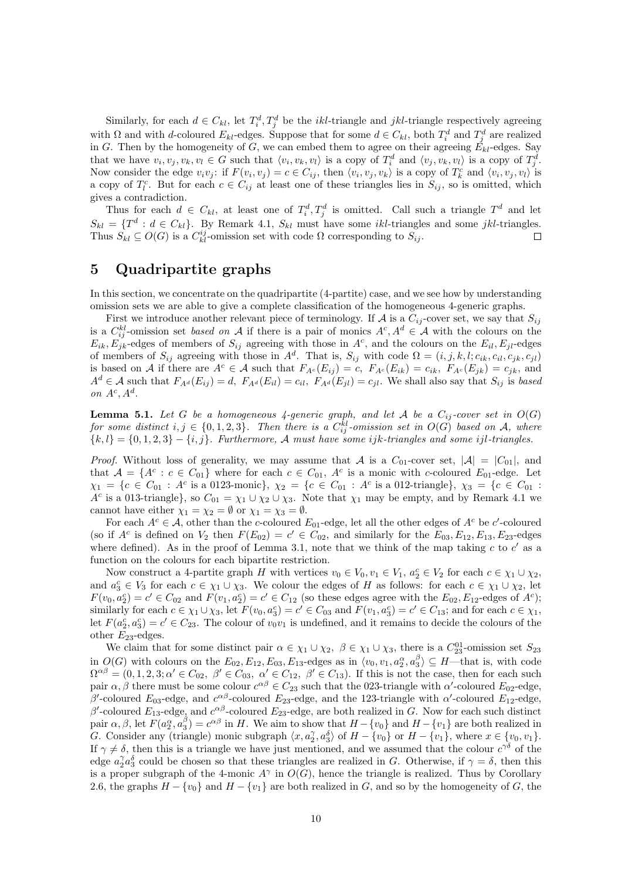Similarly, for each  $d \in C_{kl}$ , let  $T_i^d, T_j^d$  be the *ikl*-triangle and *jkl*-triangle respectively agreeing with  $\Omega$  and with d-coloured  $E_{kl}$ -edges. Suppose that for some  $d \in C_{kl}$ , both  $T_i^d$  and  $T_j^d$  are realized in G. Then by the homogeneity of G, we can embed them to agree on their agreeing  $\vec{E}_{kl}$ -edges. Say that we have  $v_i, v_j, v_k, v_l \in G$  such that  $\langle v_i, v_k, v_l \rangle$  is a copy of  $T_i^d$  and  $\langle v_j, v_k, v_l \rangle$  is a copy of  $T_j^d$ . Now consider the edge  $v_i v_j$ : if  $F(v_i, v_j) = c \in C_{ij}$ , then  $\langle v_i, v_j, v_k \rangle$  is a copy of  $T_k^c$  and  $\langle v_i, v_j, v_l \rangle$  is a copy of  $T_i^c$ . But for each  $c \in C_{ij}$  at least one of these triangles lies in  $S_{ij}$ , so is omitted, which gives a contradiction.

Thus for each  $d \in C_{kl}$ , at least one of  $T_i^d, T_j^d$  is omitted. Call such a triangle  $T^d$  and let  $S_{kl} = \{T^d : d \in C_{kl}\}.$  By Remark 4.1,  $S_{kl}$  must have some *ikl*-triangles and some *jkl*-triangles. Thus  $S_{kl} \subseteq O(G)$  is a  $C_{kl}^{ij}$ -omission set with code  $\Omega$  corresponding to  $S_{ij}$ .  $\Box$ 

## 5 Quadripartite graphs

In this section, we concentrate on the quadripartite (4-partite) case, and we see how by understanding omission sets we are able to give a complete classification of the homogeneous 4-generic graphs.

First we introduce another relevant piece of terminology. If A is a  $C_{ij}$ -cover set, we say that  $S_{ij}$ is a  $C_{ij}^{kl}$ -omission set *based on* A if there is a pair of monics  $A^c, A^d \in \mathcal{A}$  with the colours on the  $E_{ik}, E_{jk}$ -edges of members of  $S_{ij}$  agreeing with those in  $A^c$ , and the colours on the  $E_{il}, E_{jl}$ -edges of members of  $S_{ij}$  agreeing with those in  $A^d$ . That is,  $S_{ij}$  with code  $\Omega = (i, j, k, l; c_{ik}, c_{il}, c_{jk}, c_{jl})$ is based on A if there are  $A^c \in \mathcal{A}$  such that  $F_{A^c}(E_{ij}) = c$ ,  $F_{A^c}(E_{ik}) = c_{ik}$ ,  $F_{A^c}(E_{jk}) = c_{jk}$ , and  $A^d \in \mathcal{A}$  such that  $F_{A^d}(E_{ij}) = d$ ,  $F_{A^d}(E_{il}) = c_{il}$ ,  $F_{A^d}(E_{jl}) = c_{jl}$ . We shall also say that  $S_{ij}$  is based on  $A^c, A^d$ .

**Lemma 5.1.** Let G be a homogeneous 4-generic graph, and let A be a  $C_{ij}$ -cover set in  $O(G)$ for some distinct  $i, j \in \{0, 1, 2, 3\}$ . Then there is a  $C_{ij}^{kl}$ -omission set in  $O(G)$  based on A, where  ${k, l} = {0, 1, 2, 3} - {i, j}$ . Furthermore, A must have some ijk-triangles and some ijl-triangles.

*Proof.* Without loss of generality, we may assume that A is a  $C_{01}$ -cover set,  $|\mathcal{A}| = |C_{01}|$ , and that  $A = \{A^c : c \in C_{01}\}\$  where for each  $c \in C_{01}$ ,  $A^c$  is a monic with c-coloured  $E_{01}$ -edge. Let  $\chi_1 = \{c \in C_{01} : A^c \text{ is a 0123-monic}\}, \ \chi_2 = \{c \in C_{01} : A^c \text{ is a 012-triangle}\}, \ \chi_3 = \{c \in C_{01} : A^c \text{ is a 012-triangle}\}.$  $A^c$  is a 013-triangle}, so  $C_{01} = \chi_1 \cup \chi_2 \cup \chi_3$ . Note that  $\chi_1$  may be empty, and by Remark 4.1 we cannot have either  $\chi_1 = \chi_2 = \emptyset$  or  $\chi_1 = \chi_3 = \emptyset$ .

For each  $A^c \in \mathcal{A}$ , other than the c-coloured  $E_{01}$ -edge, let all the other edges of  $A^c$  be c'-coloured (so if  $A^c$  is defined on  $V_2$  then  $F(E_{02}) = c' \in C_{02}$ , and similarly for the  $E_{03}$ ,  $E_{12}$ ,  $E_{13}$ ,  $E_{23}$ -edges where defined). As in the proof of Lemma 3.1, note that we think of the map taking  $c$  to  $c'$  as a function on the colours for each bipartite restriction.

Now construct a 4-partite graph H with vertices  $v_0 \in V_0, v_1 \in V_1, a_2^c \in V_2$  for each  $c \in \chi_1 \cup \chi_2$ , and  $a_3^c \in V_3$  for each  $c \in \chi_1 \cup \chi_3$ . We colour the edges of H as follows: for each  $c \in \chi_1 \cup \chi_2$ , let  $F(v_0, a_2^c) = c' \in C_{02}$  and  $F(v_1, a_2^c) = c' \in C_{12}$  (so these edges agree with the  $E_{02}, E_{12}$ -edges of  $A^c$ ); similarly for each  $c \in \chi_1 \cup \chi_3$ , let  $F(v_0, a_3^c) = c' \in C_{03}$  and  $F(v_1, a_3^c) = c' \in C_{13}$ ; and for each  $c \in \chi_1$ , let  $F(a_2^c, a_3^c) = c' \in C_{23}$ . The colour of  $v_0v_1$  is undefined, and it remains to decide the colours of the other  $E_{23}$ -edges.

We claim that for some distinct pair  $\alpha \in \chi_1 \cup \chi_2$ ,  $\beta \in \chi_1 \cup \chi_3$ , there is a  $C_{23}^{01}$ -omission set  $S_{23}$ in  $O(G)$  with colours on the  $E_{02}, E_{12}, E_{03}, E_{13}$ -edges as in  $\langle v_0, v_1, a_2^{\alpha}, a_3^{\beta} \rangle \subseteq H$ —that is, with code  $\Omega^{\alpha\beta} = (0, 1, 2, 3; \alpha' \in C_{02}, \ \beta' \in C_{03}, \ \alpha' \in C_{12}, \ \beta' \in C_{13})$ . If this is not the case, then for each such pair  $\alpha, \beta$  there must be some colour  $c^{\alpha\beta} \in C_{23}$  such that the 023-triangle with  $\alpha'$ -coloured  $E_{02}$ -edge, β'-coloured E<sub>03</sub>-edge, and  $c^{\alpha\beta}$ -coloured E<sub>23</sub>-edge, and the 123-triangle with α'-coloured E<sub>12</sub>-edge, β'-coloured  $E_{13}$ -edge, and  $c^{\alpha\beta}$ -coloured  $E_{23}$ -edge, are both realized in G. Now for each such distinct pair  $\alpha, \beta$ , let  $F(a_2^{\alpha}, a_3^{\beta}) = c^{\alpha \beta}$  in H. We aim to show that  $H - \{v_0\}$  and  $H - \{v_1\}$  are both realized in G. Consider any (triangle) monic subgraph  $\langle x, a_2^{\gamma}, a_3^{\delta} \rangle$  of  $H - \{v_0\}$  or  $H - \{v_1\}$ , where  $x \in \{v_0, v_1\}$ . If  $\gamma \neq \delta$ , then this is a triangle we have just mentioned, and we assumed that the colour  $c^{\gamma\delta}$  of the edge  $a_2^{\gamma}a_3^{\delta}$  could be chosen so that these triangles are realized in G. Otherwise, if  $\gamma = \delta$ , then this is a proper subgraph of the 4-monic  $A^{\gamma}$  in  $O(G)$ , hence the triangle is realized. Thus by Corollary 2.6, the graphs  $H - \{v_0\}$  and  $H - \{v_1\}$  are both realized in G, and so by the homogeneity of G, the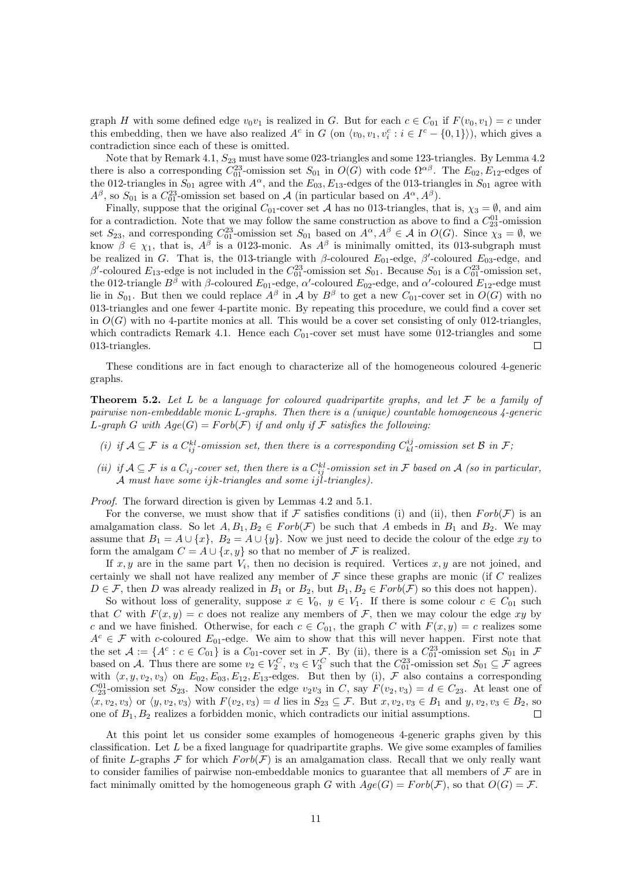graph H with some defined edge  $v_0v_1$  is realized in G. But for each  $c \in C_{01}$  if  $F(v_0, v_1) = c$  under this embedding, then we have also realized  $A^c$  in G (on  $\langle v_0, v_1, v_i^c : i \in I^c - \{0, 1\} \rangle$ ), which gives a contradiction since each of these is omitted.

Note that by Remark 4.1,  $S_{23}$  must have some 023-triangles and some 123-triangles. By Lemma 4.2 there is also a corresponding  $C_{01}^{23}$ -omission set  $S_{01}$  in  $O(G)$  with code  $\Omega^{\alpha\beta}$ . The  $E_{02}, E_{12}$ -edges of the 012-triangles in  $S_{01}$  agree with  $A^{\alpha}$ , and the  $E_{03}$ ,  $E_{13}$ -edges of the 013-triangles in  $S_{01}$  agree with  $A^{\beta}$ , so  $S_{01}$  is a  $C_{01}^{23}$ -omission set based on  $\mathcal A$  (in particular based on  $A^{\alpha}, A^{\beta}$ ).

Finally, suppose that the original  $C_{01}$ -cover set A has no 013-triangles, that is,  $\chi_3 = \emptyset$ , and aim for a contradiction. Note that we may follow the same construction as above to find a  $C_{23}^{01}$ -omission set  $S_{23}$ , and corresponding  $C_{01}^{23}$ -omission set  $S_{01}$  based on  $A^{\alpha}, A^{\beta} \in \mathcal{A}$  in  $O(G)$ . Since  $\chi_3 = \emptyset$ , we know  $\beta \in \chi_1$ , that is,  $A^{\beta}$  is a 0123-monic. As  $A^{\beta}$  is minimally omitted, its 013-subgraph must be realized in G. That is, the 013-triangle with  $\beta$ -coloured  $E_{01}$ -edge,  $\beta'$ -coloured  $E_{03}$ -edge, and  $\beta'$ -coloured  $E_{13}$ -edge is not included in the  $C_{01}^{23}$ -omission set  $S_{01}$ . Because  $S_{01}$  is a  $C_{01}^{23}$ -omission set, the 012-triangle  $B^{\beta}$  with  $\beta$ -coloured  $E_{01}$ -edge,  $\alpha'$ -coloured  $E_{02}$ -edge, and  $\alpha'$ -coloured  $E_{12}$ -edge must lie in  $S_{01}$ . But then we could replace  $A^{\beta}$  in A by  $B^{\beta}$  to get a new  $C_{01}$ -cover set in  $O(G)$  with no 013-triangles and one fewer 4-partite monic. By repeating this procedure, we could find a cover set in  $O(G)$  with no 4-partite monics at all. This would be a cover set consisting of only 012-triangles, which contradicts Remark 4.1. Hence each  $C_{01}$ -cover set must have some 012-triangles and some 013-triangles. П

These conditions are in fact enough to characterize all of the homogeneous coloured 4-generic graphs.

**Theorem 5.2.** Let L be a language for coloured quadripartite graphs, and let  $\mathcal F$  be a family of pairwise non-embeddable monic L-graphs. Then there is a (unique) countable homogeneous 4-generic L-graph G with  $Age(G) = Forb(\mathcal{F})$  if and only if  $\mathcal F$  satisfies the following:

- (i) if  $A \subseteq \mathcal{F}$  is a  $C_{ij}^{kl}$ -omission set, then there is a corresponding  $C_{kl}^{ij}$ -omission set  $\mathcal{B}$  in  $\mathcal{F}$ ;
- (ii) if  $A \subseteq \mathcal{F}$  is a  $C_{ij}$ -cover set, then there is a  $C_{ij}^{kl}$ -omission set in  $\mathcal{F}$  based on  $A$  (so in particular, A must have some ijk-triangles and some ijl-triangles).

Proof. The forward direction is given by Lemmas 4.2 and 5.1.

For the converse, we must show that if F satisfies conditions (i) and (ii), then  $Forb(\mathcal{F})$  is an amalgamation class. So let  $A, B_1, B_2 \in Forb(\mathcal{F})$  be such that A embeds in  $B_1$  and  $B_2$ . We may assume that  $B_1 = A \cup \{x\}$ ,  $B_2 = A \cup \{y\}$ . Now we just need to decide the colour of the edge xy to form the amalgam  $C = A \cup \{x, y\}$  so that no member of  $\mathcal F$  is realized.

If  $x, y$  are in the same part  $V_i$ , then no decision is required. Vertices  $x, y$  are not joined, and certainly we shall not have realized any member of  $\mathcal F$  since these graphs are monic (if C realizes  $D \in \mathcal{F}$ , then D was already realized in  $B_1$  or  $B_2$ , but  $B_1, B_2 \in Forb(\mathcal{F})$  so this does not happen).

So without loss of generality, suppose  $x \in V_0$ ,  $y \in V_1$ . If there is some colour  $c \in C_{01}$  such that C with  $F(x, y) = c$  does not realize any members of F, then we may colour the edge xy by c and we have finished. Otherwise, for each  $c \in C_{01}$ , the graph C with  $F(x, y) = c$  realizes some  $A^c \in \mathcal{F}$  with c-coloured  $E_{01}$ -edge. We aim to show that this will never happen. First note that the set  $\mathcal{A} := \{A^c : c \in C_{01}\}\$ is a  $C_{01}$ -cover set in  $\mathcal{F}$ . By (ii), there is a  $C_{01}^{23}$ -omission set  $S_{01}$  in  $\mathcal{F}$ based on A. Thus there are some  $v_2 \in V_2^C$ ,  $v_3 \in V_3^C$  such that the  $C_{01}^{23}$ -omission set  $S_{01} \subseteq \mathcal{F}$  agrees with  $\langle x, y, v_2, v_3 \rangle$  on  $E_{02}, E_{03}, E_{12}, E_{13}$ -edges. But then by (i), F also contains a corresponding  $C_{23}^{01}$ -omission set  $S_{23}$ . Now consider the edge  $v_2v_3$  in C, say  $F(v_2, v_3) = d \in C_{23}$ . At least one of  $\langle x, v_2, v_3 \rangle$  or  $\langle y, v_2, v_3 \rangle$  with  $F(v_2, v_3) = d$  lies in  $S_{23} \subseteq \mathcal{F}$ . But  $x, v_2, v_3 \in B_1$  and  $y, v_2, v_3 \in B_2$ , so one of  $B_1, B_2$  realizes a forbidden monic, which contradicts our initial assumptions.  $\Box$ 

At this point let us consider some examples of homogeneous 4-generic graphs given by this classification. Let  $L$  be a fixed language for quadripartite graphs. We give some examples of families of finite L-graphs  $\mathcal F$  for which  $Forb(\mathcal F)$  is an amalgamation class. Recall that we only really want to consider families of pairwise non-embeddable monics to guarantee that all members of  $\mathcal F$  are in fact minimally omitted by the homogeneous graph G with  $Age(G) = Forb(\mathcal{F})$ , so that  $O(G) = \mathcal{F}$ .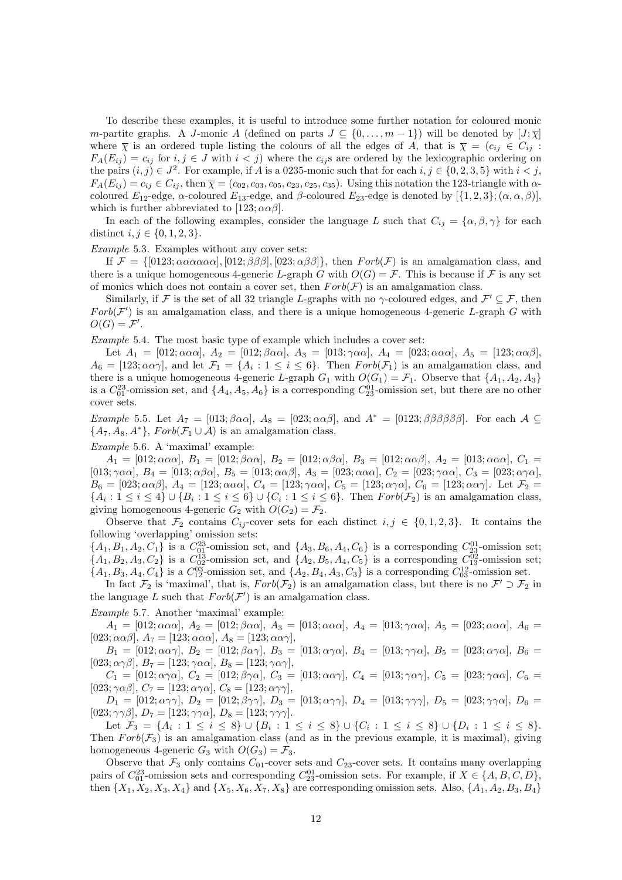To describe these examples, it is useful to introduce some further notation for coloured monic m-partite graphs. A J-monic A (defined on parts  $J \subseteq \{0, \ldots, m-1\}$ ) will be denoted by  $[J;\overline{\chi}]$ where  $\overline{\chi}$  is an ordered tuple listing the colours of all the edges of A, that is  $\overline{\chi} = (c_{ij} \in C_{ij} :$  $F_A(E_{ij}) = c_{ij}$  for  $i, j \in J$  with  $i < j$ ) where the  $c_{ij}$ s are ordered by the lexicographic ordering on the pairs  $(i, j) \in J^2$ . For example, if A is a 0235-monic such that for each  $i, j \in \{0, 2, 3, 5\}$  with  $i < j$ ,  $F_A(E_{ij}) = c_{ij} \in C_{ij}$ , then  $\overline{\chi} = (c_{02}, c_{03}, c_{05}, c_{23}, c_{25}, c_{35})$ . Using this notation the 123-triangle with  $\alpha$ coloured  $E_{12}$ -edge,  $\alpha$ -coloured  $E_{13}$ -edge, and  $\beta$ -coloured  $E_{23}$ -edge is denoted by  $[\{1, 2, 3\}; (\alpha, \alpha, \beta)],$ which is further abbreviated to [123;  $\alpha \alpha \beta$ ].

In each of the following examples, consider the language L such that  $C_{ij} = {\alpha, \beta, \gamma}$  for each distinct  $i, j \in \{0, 1, 2, 3\}.$ 

Example 5.3. Examples without any cover sets:

If  $\mathcal{F} = \{ [0123; \alpha \alpha \alpha \alpha \alpha], [012; \beta \beta \beta], [023; \alpha \beta \beta] \}$ , then  $F \text{orb}(\mathcal{F})$  is an amalgamation class, and there is a unique homogeneous 4-generic L-graph G with  $O(G) = \mathcal{F}$ . This is because if  $\mathcal F$  is any set of monics which does not contain a cover set, then  $Forb(\mathcal{F})$  is an amalgamation class.

Similarly, if F is the set of all 32 triangle L-graphs with no  $\gamma$ -coloured edges, and  $\mathcal{F}' \subseteq \mathcal{F}$ , then  $Forb(\mathcal{F}')$  is an amalgamation class, and there is a unique homogeneous 4-generic L-graph G with  $O(G) = \mathcal{F}'$ .

Example 5.4. The most basic type of example which includes a cover set:

Let  $A_1 = [012; \alpha \alpha \alpha], A_2 = [012; \beta \alpha \alpha], A_3 = [013; \gamma \alpha \alpha], A_4 = [023; \alpha \alpha \alpha], A_5 = [123; \alpha \alpha \beta],$  $A_6 = [123; \alpha\alpha\gamma]$ , and let  $\mathcal{F}_1 = \{A_i : 1 \leq i \leq 6\}$ . Then  $Forb(\mathcal{F}_1)$  is an amalgamation class, and there is a unique homogeneous 4-generic L-graph  $G_1$  with  $O(G_1) = \mathcal{F}_1$ . Observe that  $\{A_1, A_2, A_3\}$ is a  $C_{01}^{23}$ -omission set, and  $\{A_4, A_5, A_6\}$  is a corresponding  $C_{23}^{01}$ -omission set, but there are no other cover sets.

Example 5.5. Let  $A_7 = [013; \beta \alpha \alpha]$ ,  $A_8 = [023; \alpha \alpha \beta]$ , and  $A^* = [0123; \beta \beta \beta \beta \beta \beta]$ . For each  $A \subseteq$  $\{A_7, A_8, A^*\}, Forb(\mathcal{F}_1 \cup \mathcal{A})$  is an amalgamation class.

Example 5.6. A 'maximal' example:

 $A_1 = [012; \alpha \alpha \alpha], B_1 = [012; \beta \alpha \alpha], B_2 = [012; \alpha \beta \alpha], B_3 = [012; \alpha \alpha \beta], A_2 = [013; \alpha \alpha \alpha], C_1 =$  $[013; \gamma \alpha \alpha], B_4 = [013; \alpha \beta \alpha], B_5 = [013; \alpha \alpha \beta], A_3 = [023; \alpha \alpha \alpha], C_2 = [023; \gamma \alpha \alpha], C_3 = [023; \alpha \gamma \alpha],$  $B_6 = [023; \alpha \alpha \beta], A_4 = [123; \alpha \alpha \alpha], C_4 = [123; \gamma \alpha \alpha], C_5 = [123; \alpha \gamma \alpha], C_6 = [123; \alpha \alpha \gamma].$  Let  $\mathcal{F}_2 =$  $\{A_i: 1 \leq i \leq 4\} \cup \{B_i: 1 \leq i \leq 6\} \cup \{C_i: 1 \leq i \leq 6\}.$  Then  $Forb(\mathcal{F}_2)$  is an amalgamation class, giving homogeneous 4-generic  $G_2$  with  $O(G_2) = \mathcal{F}_2$ .

Observe that  $\mathcal{F}_2$  contains  $C_{ij}$ -cover sets for each distinct  $i, j \in \{0, 1, 2, 3\}$ . It contains the following 'overlapping' omission sets:

 $\{A_1, B_1, A_2, C_1\}$  is a  $C_{01}^{23}$ -omission set, and  $\{A_3, B_6, A_4, C_6\}$  is a corresponding  $C_{23}^{01}$ -omission set;  $\{A_1, B_2, A_3, C_2\}$  is a  $C_{02}^{13}$ -omission set, and  $\{A_2, B_5, A_4, C_5\}$  is a corresponding  $C_{13}^{02}$ -omission set;  $\{A_1, B_3, A_4, C_4\}$  is a  $C_{12}^{03}$ -omission set, and  $\{A_2, B_4, A_3, C_3\}$  is a corresponding  $C_{03}^{12}$ -omission set.

In fact  $\mathcal{F}_2$  is 'maximal', that is,  $Forb(\mathcal{F}_2)$  is an amalgamation class, but there is no  $\mathcal{F}' \supset \mathcal{F}_2$  in the language L such that  $Forb(\mathcal{F}')$  is an amalgamation class.

Example 5.7. Another 'maximal' example:

 $A_1 = [012; \alpha \alpha \alpha], A_2 = [012; \beta \alpha \alpha], A_3 = [013; \alpha \alpha \alpha], A_4 = [013; \gamma \alpha \alpha], A_5 = [023; \alpha \alpha \alpha], A_6 =$  $[023; \alpha \alpha \beta], A_7 = [123; \alpha \alpha \alpha], A_8 = [123; \alpha \alpha \gamma],$ 

 $B_1 = [012; \alpha \alpha \gamma], B_2 = [012; \beta \alpha \gamma], B_3 = [013; \alpha \gamma \alpha], B_4 = [013; \gamma \gamma \alpha], B_5 = [023; \alpha \gamma \alpha], B_6 =$ [023;  $\alpha\gamma\beta$ ],  $B_7 = [123; \gamma\alpha\alpha]$ ,  $B_8 = [123; \gamma\alpha\gamma]$ ,

 $C_1 = [012; \alpha \gamma \alpha], C_2 = [012; \beta \gamma \alpha], C_3 = [013; \alpha \alpha \gamma], C_4 = [013; \gamma \alpha \gamma], C_5 = [023; \gamma \alpha \alpha], C_6 =$ [023;  $\gamma \alpha \beta$ ],  $C_7 = [123; \alpha \gamma \alpha]$ ,  $C_8 = [123; \alpha \gamma \gamma]$ ,

 $D_1 = [012, \alpha \gamma \gamma], D_2 = [012, \beta \gamma \gamma], D_3 = [013, \alpha \gamma \gamma], D_4 = [013, \gamma \gamma \gamma], D_5 = [023, \gamma \gamma \alpha], D_6 =$ [023;  $\gamma \gamma \beta$ ],  $D_7 = [123; \gamma \gamma \alpha]$ ,  $D_8 = [123; \gamma \gamma \gamma]$ .

Let  $\mathcal{F}_3 = \{A_i : 1 \leq i \leq 8\} \cup \{B_i : 1 \leq i \leq 8\} \cup \{C_i : 1 \leq i \leq 8\} \cup \{D_i : 1 \leq i \leq 8\}.$ Then  $Forb(\mathcal{F}_3)$  is an amalgamation class (and as in the previous example, it is maximal), giving homogeneous 4-generic  $G_3$  with  $O(G_3) = \mathcal{F}_3$ .

Observe that  $\mathcal{F}_3$  only contains  $C_{01}$ -cover sets and  $C_{23}$ -cover sets. It contains many overlapping pairs of  $C_{01}^{23}$ -omission sets and corresponding  $C_{23}^{01}$ -omission sets. For example, if  $X \in \{A, B, C, D\}$ , then  $\{X_1, X_2, X_3, X_4\}$  and  $\{X_5, X_6, X_7, X_8\}$  are corresponding omission sets. Also,  $\{A_1, A_2, B_3, B_4\}$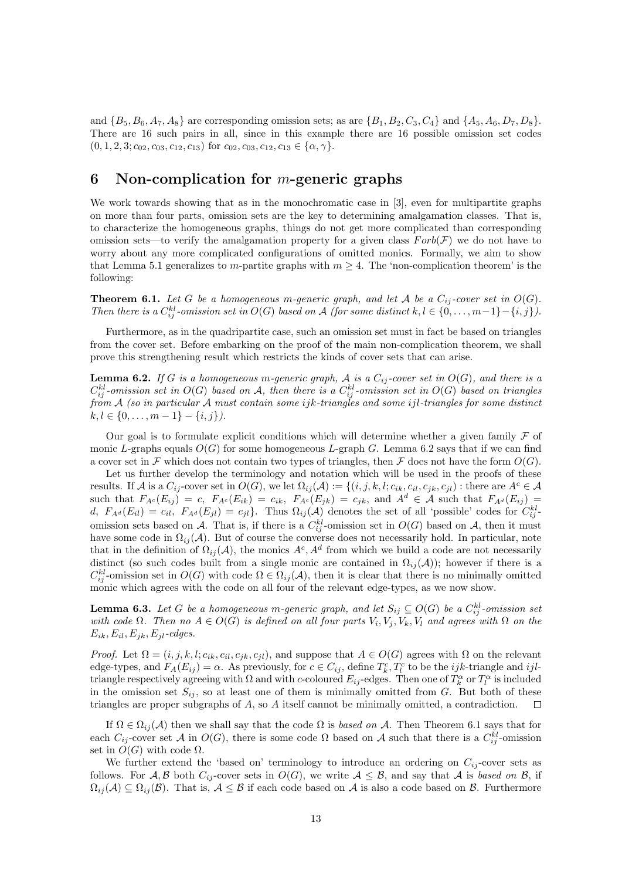and  $\{B_5, B_6, A_7, A_8\}$  are corresponding omission sets; as are  $\{B_1, B_2, C_3, C_4\}$  and  $\{A_5, A_6, D_7, D_8\}$ . There are 16 such pairs in all, since in this example there are 16 possible omission set codes  $(0, 1, 2, 3; c_{02}, c_{03}, c_{12}, c_{13})$  for  $c_{02}, c_{03}, c_{12}, c_{13} \in {\alpha, \gamma}.$ 

## 6 Non-complication for  $m$ -generic graphs

We work towards showing that as in the monochromatic case in [3], even for multipartite graphs on more than four parts, omission sets are the key to determining amalgamation classes. That is, to characterize the homogeneous graphs, things do not get more complicated than corresponding omission sets—to verify the amalgamation property for a given class  $Forb(\mathcal{F})$  we do not have to worry about any more complicated configurations of omitted monics. Formally, we aim to show that Lemma 5.1 generalizes to m-partite graphs with  $m \geq 4$ . The 'non-complication theorem' is the following:

**Theorem 6.1.** Let G be a homogeneous m-generic graph, and let A be a  $C_{ij}$ -cover set in  $O(G)$ . Then there is a  $C_{ij}^{kl}$ -omission set in  $O(G)$  based on A (for some distinct  $k, l \in \{0, ..., m-1\} - \{i, j\}$ ).

Furthermore, as in the quadripartite case, such an omission set must in fact be based on triangles from the cover set. Before embarking on the proof of the main non-complication theorem, we shall prove this strengthening result which restricts the kinds of cover sets that can arise.

**Lemma 6.2.** If G is a homogeneous m-generic graph, A is a  $C_{ij}$ -cover set in  $O(G)$ , and there is a  $C_{ij}^{kl}$ -omission set in  $O(G)$  based on A, then there is a  $C_{ij}^{kl}$ -omission set in  $O(G)$  based on triangles from A (so in particular A must contain some ijk-triangles and some ijl-triangles for some distinct  $k, l \in \{0, \ldots, m-1\} - \{i, j\}$ .

Our goal is to formulate explicit conditions which will determine whether a given family  $\mathcal F$  of monic L-graphs equals  $O(G)$  for some homogeneous L-graph G. Lemma 6.2 says that if we can find a cover set in F which does not contain two types of triangles, then F does not have the form  $O(G)$ .

Let us further develop the terminology and notation which will be used in the proofs of these results. If A is a  $C_{ij}$ -cover set in  $O(G)$ , we let  $\Omega_{ij}(\mathcal{A}) := \{(i, j, k, l; c_{ik}, c_{il}, c_{jk}, c_{jl}) : \text{there are } A^c \in \mathcal{A}$ such that  $F_{A^c}(E_{ij}) = c$ ,  $F_{A^c}(E_{ik}) = c_{ik}$ ,  $F_{A^c}(E_{jk}) = c_{jk}$ , and  $A^d \in \mathcal{A}$  such that  $F_{A^d}(E_{ij}) = c_{ik}$ d,  $F_{A^d}(E_{il}) = c_{il}$ ,  $F_{A^d}(E_{jl}) = c_{jl}$ . Thus  $\Omega_{ij}(A)$  denotes the set of all 'possible' codes for  $C_{ij}^{kl}$ omission sets based on A. That is, if there is a  $C_{ij}^{kl}$ -omission set in  $O(G)$  based on A, then it must have some code in  $\Omega_{ij}(\mathcal{A})$ . But of course the converse does not necessarily hold. In particular, note that in the definition of  $\Omega_{ij}(\mathcal{A})$ , the monics  $A^c, A^d$  from which we build a code are not necessarily distinct (so such codes built from a single monic are contained in  $\Omega_{ij}(\mathcal{A})$ ); however if there is a  $C_{ij}^{kl}$ -omission set in  $O(G)$  with code  $\Omega \in \Omega_{ij}(\mathcal{A})$ , then it is clear that there is no minimally omitted monic which agrees with the code on all four of the relevant edge-types, as we now show.

**Lemma 6.3.** Let G be a homogeneous m-generic graph, and let  $S_{ij} \subseteq O(G)$  be a  $C_{ij}^{kl}$ -omission set with code  $\Omega$ . Then no  $A \in O(G)$  is defined on all four parts  $V_i, V_j, V_k, V_l$  and agrees with  $\Omega$  on the  $E_{ik}, E_{il}, E_{jk}, E_{il}$ -edges.

Proof. Let  $\Omega = (i, j, k, l; c_{ik}, c_{il}, c_{jk}, c_{jl})$ , and suppose that  $A \in O(G)$  agrees with  $\Omega$  on the relevant edge-types, and  $F_A(E_{ij}) = \alpha$ . As previously, for  $c \in C_{ij}$ , define  $T_k^c, T_l^c$  to be the *ijk*-triangle and *ijl*triangle respectively agreeing with  $\Omega$  and with c-coloured  $E_{ij}$ -edges. Then one of  $T_k^{\alpha}$  or  $T_l^{\alpha}$  is included in the omission set  $S_{ij}$ , so at least one of them is minimally omitted from G. But both of these triangles are proper subgraphs of A, so A itself cannot be minimally omitted, a contradiction.  $\Box$ 

If  $\Omega \in \Omega_{ij}(\mathcal{A})$  then we shall say that the code  $\Omega$  is based on  $\mathcal{A}$ . Then Theorem 6.1 says that for each  $C_{ij}$ -cover set A in  $O(G)$ , there is some code  $\Omega$  based on A such that there is a  $C_{ij}^{kl}$ -omission set in  $O(G)$  with code  $\Omega$ .

We further extend the 'based on' terminology to introduce an ordering on  $C_{ij}$ -cover sets as follows. For A, B both  $C_{ij}$ -cover sets in  $O(G)$ , we write  $A \leq B$ , and say that A is based on B, if  $\Omega_{ij}(\mathcal{A}) \subseteq \Omega_{ij}(\mathcal{B})$ . That is,  $\mathcal{A} \leq \mathcal{B}$  if each code based on  $\mathcal{A}$  is also a code based on  $\mathcal{B}$ . Furthermore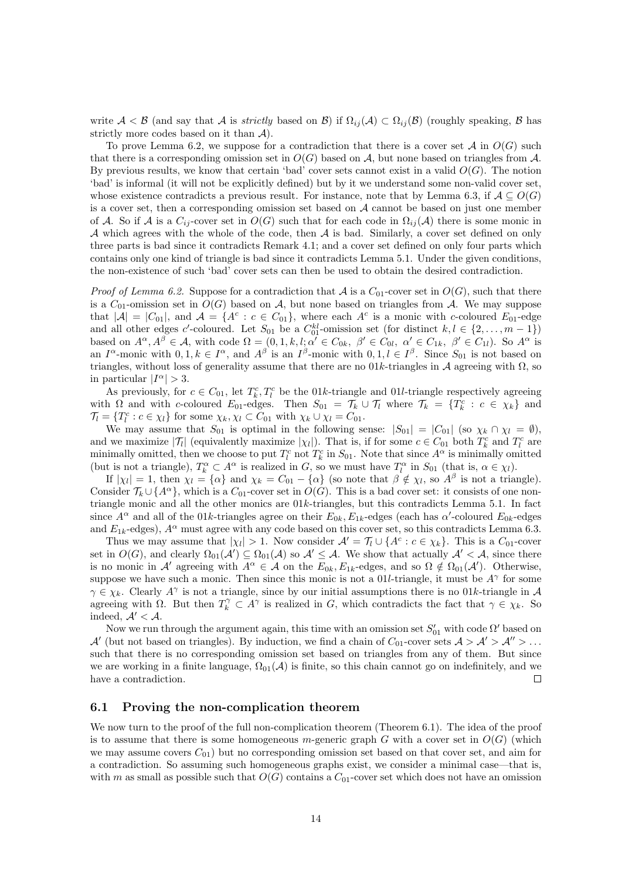write  $\mathcal{A} < \mathcal{B}$  (and say that  $\mathcal{A}$  is *strictly* based on  $\mathcal{B}$ ) if  $\Omega_{ij}(\mathcal{A}) \subset \Omega_{ij}(\mathcal{B})$  (roughly speaking,  $\mathcal{B}$  has strictly more codes based on it than  $A$ ).

To prove Lemma 6.2, we suppose for a contradiction that there is a cover set  $A$  in  $O(G)$  such that there is a corresponding omission set in  $O(G)$  based on A, but none based on triangles from A. By previous results, we know that certain 'bad' cover sets cannot exist in a valid  $O(G)$ . The notion 'bad' is informal (it will not be explicitly defined) but by it we understand some non-valid cover set, whose existence contradicts a previous result. For instance, note that by Lemma 6.3, if  $A \subseteq O(G)$ is a cover set, then a corresponding omission set based on  $A$  cannot be based on just one member of A. So if A is a  $C_{ij}$ -cover set in  $O(G)$  such that for each code in  $\Omega_{ij}(\mathcal{A})$  there is some monic in  $A$  which agrees with the whole of the code, then  $A$  is bad. Similarly, a cover set defined on only three parts is bad since it contradicts Remark 4.1; and a cover set defined on only four parts which contains only one kind of triangle is bad since it contradicts Lemma 5.1. Under the given conditions, the non-existence of such 'bad' cover sets can then be used to obtain the desired contradiction.

*Proof of Lemma 6.2.* Suppose for a contradiction that  $\mathcal A$  is a  $C_{01}$ -cover set in  $O(G)$ , such that there is a  $C_{01}$ -omission set in  $O(G)$  based on A, but none based on triangles from A. We may suppose that  $|A| = |C_{01}|$ , and  $A = \{A^c : c \in C_{01}\}$ , where each  $A^c$  is a monic with c-coloured  $E_{01}$ -edge and all other edges c'-coloured. Let  $S_{01}$  be a  $C_{01}^{kl}$ -omission set (for distinct  $k, l \in \{2, ..., m-1\}$ ) based on  $A^{\alpha}, A^{\beta} \in \mathcal{A}$ , with code  $\Omega = (0, 1, k, l; \alpha' \in C_{0k}, \beta' \in C_{0l}, \alpha' \in C_{1k}, \beta' \in C_{1l})$ . So  $A^{\alpha}$  is an  $I^{\alpha}$ -monic with  $0, 1, k \in I^{\alpha}$ , and  $A^{\beta}$  is an  $I^{\beta}$ -monic with  $0, 1, l \in I^{\beta}$ . Since  $S_{01}$  is not based on triangles, without loss of generality assume that there are no 01k-triangles in A agreeing with  $\Omega$ , so in particular  $|I^{\alpha}| > 3$ .

As previously, for  $c \in C_{01}$ , let  $T_k^c, T_l^c$  be the 01k-triangle and 01l-triangle respectively agreeing with  $\Omega$  and with c-coloured  $E_{01}$ -edges. Then  $S_{01} = \mathcal{T}_k \cup \mathcal{T}_l$  where  $\mathcal{T}_k = \{T_k^c : c \in \chi_k\}$  and  $\mathcal{T}_l = \{T_l^c : c \in \chi_l\}$  for some  $\chi_k, \chi_l \subset C_{01}$  with  $\chi_k \cup \chi_l = C_{01}$ .

We may assume that  $S_{01}$  is optimal in the following sense:  $|S_{01}| = |C_{01}|$  (so  $\chi_k \cap \chi_l = \emptyset$ ), and we maximize  $|\mathcal{T}_l|$  (equivalently maximize  $|\chi_l|$ ). That is, if for some  $c \in C_{01}$  both  $T_k^c$  and  $T_l^c$  are minimally omitted, then we choose to put  $T_l^c$  not  $T_k^c$  in  $S_{01}$ . Note that since  $A^{\alpha}$  is minimally omitted (but is not a triangle),  $T_k^{\alpha} \subset A^{\alpha}$  is realized in G, so we must have  $T_l^{\alpha}$  in  $S_{01}$  (that is,  $\alpha \in \chi_l$ ).

If  $|\chi_l|=1$ , then  $\chi_l = {\alpha}$  and  $\chi_k = C_{01} - {\alpha}$  (so note that  $\beta \notin \chi_l$ , so  $A^{\beta}$  is not a triangle). Consider  $\mathcal{T}_k \cup \{A^{\alpha}\}\,$ , which is a  $C_{01}$ -cover set in  $O(G)$ . This is a bad cover set: it consists of one nontriangle monic and all the other monics are  $01k$ -triangles, but this contradicts Lemma 5.1. In fact since  $A^{\alpha}$  and all of the 01k-triangles agree on their  $E_{0k}$ ,  $E_{1k}$ -edges (each has  $\alpha'$ -coloured  $E_{0k}$ -edges and  $E_{1k}$ -edges),  $A^{\alpha}$  must agree with any code based on this cover set, so this contradicts Lemma 6.3.

Thus we may assume that  $|\chi_l| > 1$ . Now consider  $\mathcal{A}' = \mathcal{T}_l \cup \{A^c : c \in \chi_k\}$ . This is a  $C_{01}$ -cover set in  $O(G)$ , and clearly  $\Omega_{01}(\mathcal{A}') \subseteq \Omega_{01}(\mathcal{A})$  so  $\mathcal{A}' \leq \mathcal{A}$ . We show that actually  $\mathcal{A}' < \mathcal{A}$ , since there is no monic in A' agreeing with  $A^{\alpha} \in A$  on the  $E_{0k}$ ,  $E_{1k}$ -edges, and so  $\Omega \notin \Omega_{01}(\mathcal{A}')$ . Otherwise, suppose we have such a monic. Then since this monic is not a 01l-triangle, it must be  $A^{\gamma}$  for some  $\gamma \in \chi_k$ . Clearly  $A^{\gamma}$  is not a triangle, since by our initial assumptions there is no 01k-triangle in A agreeing with  $\Omega$ . But then  $T_k^{\gamma} \subset A^{\gamma}$  is realized in G, which contradicts the fact that  $\gamma \in \chi_k$ . So indeed,  $A' < A$ .

Now we run through the argument again, this time with an omission set  $S'_{01}$  with code  $\Omega'$  based on A' (but not based on triangles). By induction, we find a chain of  $C_{01}$ -cover sets  $A > A' > A'' > ...$ such that there is no corresponding omission set based on triangles from any of them. But since we are working in a finite language,  $\Omega_{01}(\mathcal{A})$  is finite, so this chain cannot go on indefinitely, and we have a contradiction.  $\Box$ 

### 6.1 Proving the non-complication theorem

We now turn to the proof of the full non-complication theorem (Theorem 6.1). The idea of the proof is to assume that there is some homogeneous m-generic graph  $G$  with a cover set in  $O(G)$  (which we may assume covers  $C_{01}$ ) but no corresponding omission set based on that cover set, and aim for a contradiction. So assuming such homogeneous graphs exist, we consider a minimal case—that is, with m as small as possible such that  $O(G)$  contains a  $C_{01}$ -cover set which does not have an omission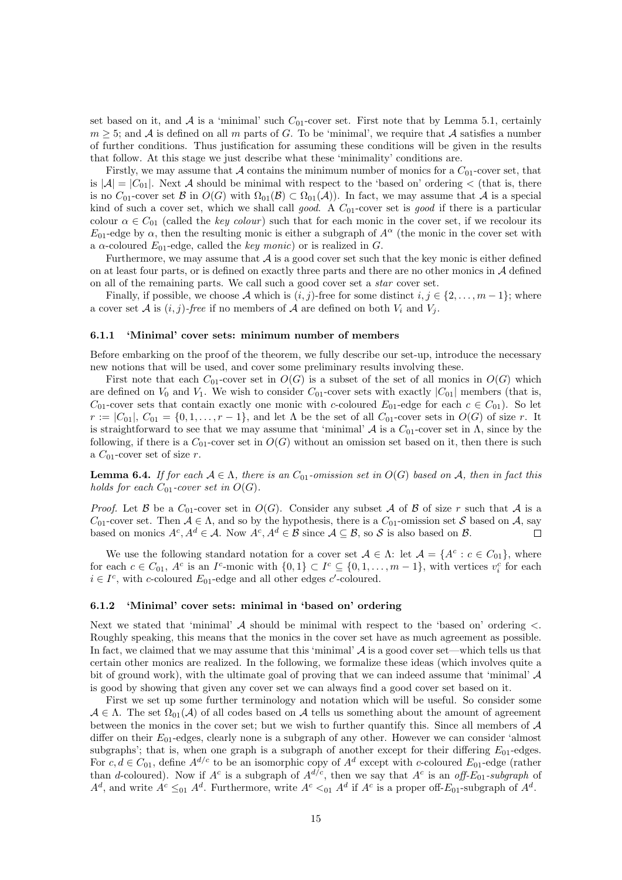set based on it, and  $A$  is a 'minimal' such  $C_{01}$ -cover set. First note that by Lemma 5.1, certainly  $m \geq 5$ ; and A is defined on all m parts of G. To be 'minimal', we require that A satisfies a number of further conditions. Thus justification for assuming these conditions will be given in the results that follow. At this stage we just describe what these 'minimality' conditions are.

Firstly, we may assume that A contains the minimum number of monics for a  $C_{01}$ -cover set, that is  $|\mathcal{A}| = |C_{01}|$ . Next A should be minimal with respect to the 'based on' ordering  $\lt$  (that is, there is no  $C_{01}$ -cover set B in  $O(G)$  with  $\Omega_{01}(\mathcal{B}) \subset \Omega_{01}(\mathcal{A})$ . In fact, we may assume that A is a special kind of such a cover set, which we shall call good. A  $C_{01}$ -cover set is good if there is a particular colour  $\alpha \in C_{01}$  (called the key colour) such that for each monic in the cover set, if we recolour its  $E_{01}$ -edge by  $\alpha$ , then the resulting monic is either a subgraph of  $A^{\alpha}$  (the monic in the cover set with a  $\alpha$ -coloured  $E_{01}$ -edge, called the key monic) or is realized in G.

Furthermore, we may assume that  $A$  is a good cover set such that the key monic is either defined on at least four parts, or is defined on exactly three parts and there are no other monics in  $A$  defined on all of the remaining parts. We call such a good cover set a star cover set.

Finally, if possible, we choose A which is  $(i, j)$ -free for some distinct  $i, j \in \{2, \ldots, m-1\}$ ; where a cover set A is  $(i, j)$ -free if no members of A are defined on both  $V_i$  and  $V_j$ .

### 6.1.1 'Minimal' cover sets: minimum number of members

Before embarking on the proof of the theorem, we fully describe our set-up, introduce the necessary new notions that will be used, and cover some preliminary results involving these.

First note that each  $C_{01}$ -cover set in  $O(G)$  is a subset of the set of all monics in  $O(G)$  which are defined on  $V_0$  and  $V_1$ . We wish to consider  $C_{01}$ -cover sets with exactly  $|C_{01}|$  members (that is,  $C_{01}$ -cover sets that contain exactly one monic with c-coloured  $E_{01}$ -edge for each  $c \in C_{01}$ ). So let  $r := |C_{01}|$ ,  $C_{01} = \{0, 1, \ldots, r-1\}$ , and let  $\Lambda$  be the set of all  $C_{01}$ -cover sets in  $O(G)$  of size r. It is straightforward to see that we may assume that 'minimal' A is a  $C_{01}$ -cover set in  $\Lambda$ , since by the following, if there is a  $C_{01}$ -cover set in  $O(G)$  without an omission set based on it, then there is such a  $C_{01}$ -cover set of size r.

**Lemma 6.4.** If for each  $A \in \Lambda$ , there is an  $C_{01}$ -omission set in  $O(G)$  based on A, then in fact this holds for each  $C_{01}$ -cover set in  $O(G)$ .

*Proof.* Let B be a  $C_{01}$ -cover set in  $O(G)$ . Consider any subset A of B of size r such that A is a  $C_{01}$ -cover set. Then  $A \in \Lambda$ , and so by the hypothesis, there is a  $C_{01}$ -omission set S based on A, say based on monics  $A^c, A^d \in \mathcal{A}$ . Now  $A^c, A^d \in \mathcal{B}$  since  $\mathcal{A} \subseteq \mathcal{B}$ , so S is also based on  $\mathcal{B}$ .  $\Box$ 

We use the following standard notation for a cover set  $A \in \Lambda$ : let  $A = \{A^c : c \in C_{01}\}\$ , where for each  $c \in C_{01}$ ,  $A^c$  is an  $I^c$ -monic with  $\{0,1\} \subset I^c \subseteq \{0,1,\ldots,m-1\}$ , with vertices  $v_i^c$  for each  $i \in I<sup>c</sup>$ , with *c*-coloured  $E_{01}$ -edge and all other edges *c'*-coloured.

#### 6.1.2 'Minimal' cover sets: minimal in 'based on' ordering

Next we stated that 'minimal'  $\mathcal A$  should be minimal with respect to the 'based on' ordering  $\lt$ . Roughly speaking, this means that the monics in the cover set have as much agreement as possible. In fact, we claimed that we may assume that this 'minimal'  $\mathcal A$  is a good cover set—which tells us that certain other monics are realized. In the following, we formalize these ideas (which involves quite a bit of ground work), with the ultimate goal of proving that we can indeed assume that 'minimal'  $\mathcal A$ is good by showing that given any cover set we can always find a good cover set based on it.

First we set up some further terminology and notation which will be useful. So consider some  $A \in \Lambda$ . The set  $\Omega_{01}(A)$  of all codes based on A tells us something about the amount of agreement between the monics in the cover set; but we wish to further quantify this. Since all members of  $A$ differ on their  $E_{01}$ -edges, clearly none is a subgraph of any other. However we can consider 'almost subgraphs'; that is, when one graph is a subgraph of another except for their differing  $E_{01}$ -edges. For  $c, d \in C_{01}$ , define  $A^{d/c}$  to be an isomorphic copy of  $A^d$  except with c-coloured  $E_{01}$ -edge (rather than d-coloured). Now if  $A^c$  is a subgraph of  $A^{d/c}$ , then we say that  $A^c$  is an off-E<sub>01</sub>-subgraph of  $A^d$ , and write  $A^c \leq_{0} A^d$ . Furthermore, write  $A^c \leq_{0} A^d$  if  $A^c$  is a proper off-E<sub>01</sub>-subgraph of  $A^d$ .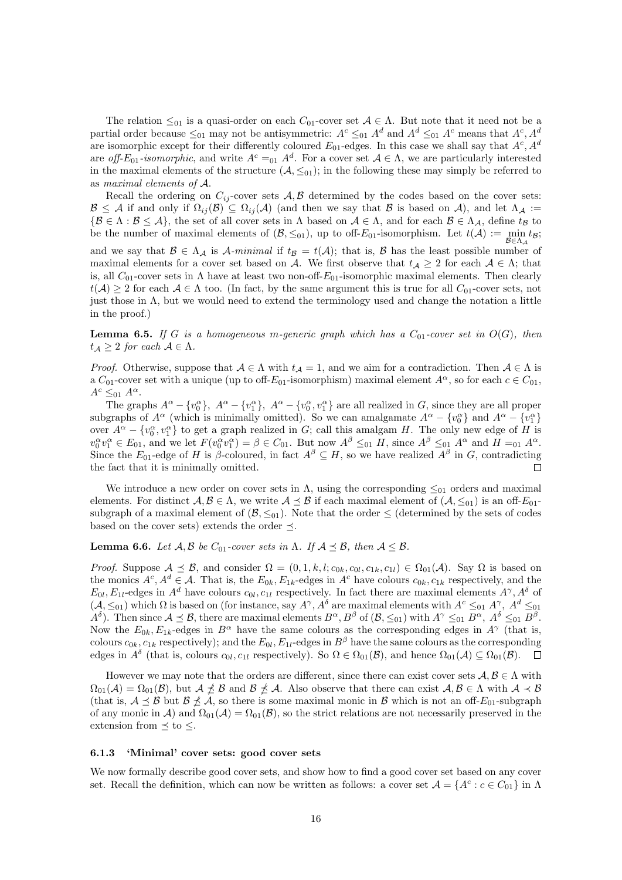The relation  $\leq_{01}$  is a quasi-order on each  $C_{01}$ -cover set  $A \in \Lambda$ . But note that it need not be a partial order because  $\leq_{01}$  may not be antisymmetric:  $A^c \leq_{01} A^d$  and  $A^d \leq_{01} A^c$  means that  $A^c, A^d$ are isomorphic except for their differently coloured  $E_{01}$ -edges. In this case we shall say that  $A<sup>c</sup>, A<sup>d</sup>$ are off-E<sub>01</sub>-isomorphic, and write  $A^c =_{01} A^d$ . For a cover set  $A \in \Lambda$ , we are particularly interested in the maximal elements of the structure  $(A, \leq_{01})$ ; in the following these may simply be referred to as maximal elements of A.

Recall the ordering on  $C_{ij}$ -cover sets  $A, B$  determined by the codes based on the cover sets:  $\mathcal{B} \leq \mathcal{A}$  if and only if  $\Omega_{ij}(\mathcal{B}) \subseteq \Omega_{ij}(\mathcal{A})$  (and then we say that  $\mathcal{B}$  is based on  $\mathcal{A}$ ), and let  $\Lambda_{\mathcal{A}} :=$  $\{\mathcal{B} \in \Lambda : \mathcal{B} \leq \mathcal{A}\}\)$ , the set of all cover sets in  $\Lambda$  based on  $\mathcal{A} \in \Lambda$ , and for each  $\mathcal{B} \in \Lambda_{\mathcal{A}}\$ , define  $t_{\mathcal{B}}$  to be the number of maximal elements of  $(\mathcal{B}, \leq_{01})$ , up to off-E<sub>01</sub>-isomorphism. Let  $t(\mathcal{A}) := \min_{\mathcal{B} \in \Lambda_{\mathcal{A}}} t_{\mathcal{B}}$ ; and we say that  $\mathcal{B} \in \Lambda_{\mathcal{A}}$  is  $\mathcal{A}\text{-minimal}$  if  $t_{\mathcal{B}} = t(\mathcal{A})$ ; that is,  $\mathcal{B}$  has the least possible number of maximal elements for a cover set based on A. We first observe that  $t_A \geq 2$  for each  $A \in \Lambda$ ; that is, all  $C_{01}$ -cover sets in  $\Lambda$  have at least two non-off- $E_{01}$ -isomorphic maximal elements. Then clearly  $t(\mathcal{A}) \geq 2$  for each  $\mathcal{A} \in \Lambda$  too. (In fact, by the same argument this is true for all  $C_{01}$ -cover sets, not just those in  $\Lambda$ , but we would need to extend the terminology used and change the notation a little in the proof.)

**Lemma 6.5.** If G is a homogeneous m-generic graph which has a  $C_{01}$ -cover set in  $O(G)$ , then  $t_A \geq 2$  for each  $A \in \Lambda$ .

*Proof.* Otherwise, suppose that  $A \in \Lambda$  with  $t_A = 1$ , and we aim for a contradiction. Then  $A \in \Lambda$  is a  $C_{01}$ -cover set with a unique (up to off- $E_{01}$ -isomorphism) maximal element  $A^{\alpha}$ , so for each  $c \in C_{01}$ ,  $A^c \leq_{01} A^\alpha$ .

The graphs  $A^{\alpha} - \{v_0^{\alpha}\}, A^{\alpha} - \{v_1^{\alpha}\}, A^{\alpha} - \{v_0^{\alpha}, v_1^{\alpha}\}\$  are all realized in G, since they are all proper subgraphs of  $A^{\alpha}$  (which is minimally omitted). So we can amalgamate  $A^{\alpha} - \{v_0^{\alpha}\}\$  and  $A^{\alpha} - \{v_1^{\alpha}\}\$ over  $A^{\alpha} - \{v_0^{\alpha}, v_1^{\alpha}\}\$  to get a graph realized in G; call this amalgam H. The only new edge of H is  $v_0^{\alpha}v_1^{\alpha} \in E_{01}$ , and we let  $F(v_0^{\alpha}v_1^{\alpha}) = \beta \in C_{01}$ . But now  $A^{\beta} \leq_{01} H$ , since  $A^{\beta} \leq_{01} A^{\alpha}$  and  $H =_{01} A^{\alpha}$ . Since the  $E_{01}$ -edge of H is  $\beta$ -coloured, in fact  $A^{\beta} \subseteq H$ , so we have realized  $A^{\beta}$  in G, contradicting the fact that it is minimally omitted.  $\Box$ 

We introduce a new order on cover sets in  $\Lambda$ , using the corresponding  $\leq_{01}$  orders and maximal elements. For distinct  $A, B \in \Lambda$ , we write  $A \preceq B$  if each maximal element of  $(A, \leq_{01})$  is an off- $E_{01}$ subgraph of a maximal element of  $(\mathcal{B}, \leq_{01})$ . Note that the order  $\leq$  (determined by the sets of codes based on the cover sets) extends the order  $\preceq$ .

### **Lemma 6.6.** Let  $A, B$  be  $C_{01}$ -cover sets in  $\Lambda$ . If  $A \preceq B$ , then  $A \leq B$ .

*Proof.* Suppose  $A \preceq B$ , and consider  $\Omega = (0, 1, k, l; c_{0k}, c_{0l}, c_{1k}, c_{1l}) \in \Omega_{01}(A)$ . Say  $\Omega$  is based on the monics  $A^c, A^d \in \mathcal{A}$ . That is, the  $E_{0k}, E_{1k}$ -edges in  $A^c$  have colours  $c_{0k}, c_{1k}$  respectively, and the  $E_{0l}, E_{1l}$ -edges in  $A^d$  have colours  $c_{0l}, c_{1l}$  respectively. In fact there are maximal elements  $A^{\gamma}, A^{\delta}$  of  $(A, \leq_{01})$  which  $\Omega$  is based on (for instance, say  $A^{\gamma}, A^{\delta}$  are maximal elements with  $A^c \leq_{01} A^{\gamma}, A^d \leq_{01}$  $A^{\delta}$ ). Then since  $A \preceq \mathcal{B}$ , there are maximal elements  $B^{\alpha}, B^{\beta}$  of  $(\mathcal{B}, \leq_{01})$  with  $A^{\gamma} \leq_{01} B^{\alpha}, A^{\delta} \leq_{01} B^{\beta}$ . Now the  $E_{0k}$ ,  $E_{1k}$ -edges in  $B^{\alpha}$  have the same colours as the corresponding edges in  $A^{\gamma}$  (that is, colours  $c_{0k}$ ,  $c_{1k}$  respectively); and the  $E_{0l}$ ,  $E_{1l}$ -edges in  $B^{\beta}$  have the same colours as the corresponding edges in  $A^{\delta}$  (that is, colours  $c_{0l}, c_{1l}$  respectively). So  $\Omega \in \Omega_{01}(\mathcal{B})$ , and hence  $\Omega_{01}(\mathcal{A}) \subseteq \Omega_{01}(\mathcal{B})$ .

However we may note that the orders are different, since there can exist cover sets  $\mathcal{A}, \mathcal{B} \in \Lambda$  with  $\Omega_{01}(\mathcal{A}) = \Omega_{01}(\mathcal{B})$ , but  $\mathcal{A} \not\preceq \mathcal{B}$  and  $\mathcal{B} \not\preceq \mathcal{A}$ . Also observe that there can exist  $\mathcal{A}, \mathcal{B} \in \Lambda$  with  $\mathcal{A} \prec \mathcal{B}$ (that is,  $A \preceq B$  but  $B \npreceq A$ , so there is some maximal monic in B which is not an off-E<sub>01</sub>-subgraph of any monic in A) and  $\Omega_{01}(\mathcal{A}) = \Omega_{01}(\mathcal{B})$ , so the strict relations are not necessarily preserved in the extension from  $\preceq$  to  $\leq$ .

#### 6.1.3 'Minimal' cover sets: good cover sets

We now formally describe good cover sets, and show how to find a good cover set based on any cover set. Recall the definition, which can now be written as follows: a cover set  $\mathcal{A} = \{A^c : c \in C_{01}\}\$ in  $\Lambda$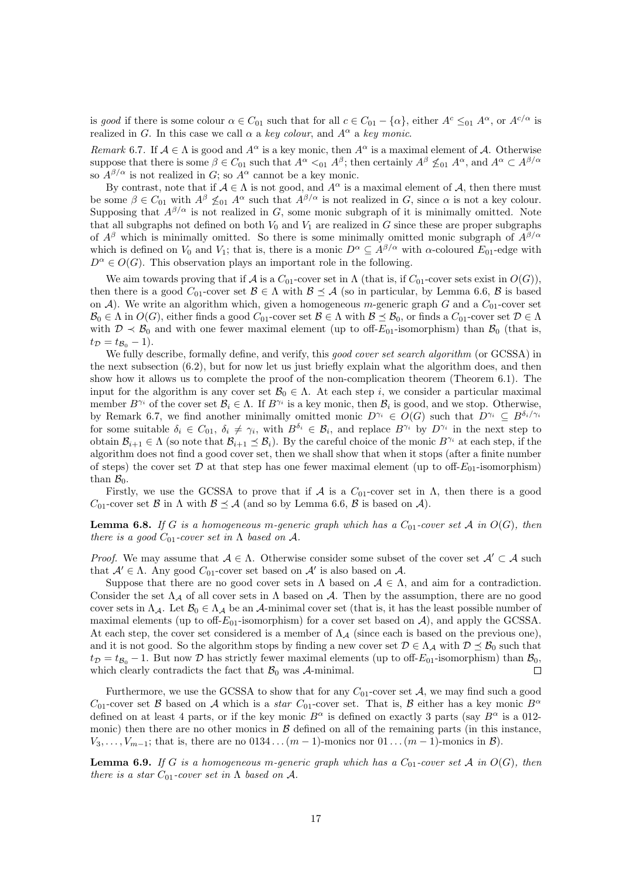is good if there is some colour  $\alpha \in C_{01}$  such that for all  $c \in C_{01} - {\alpha \brace}$ , either  $A^c \leq_{01} A^{\alpha}$ , or  $A^{c/\alpha}$  is realized in G. In this case we call  $\alpha$  a key colour, and  $A^{\alpha}$  a key monic.

Remark 6.7. If  $A \in \Lambda$  is good and  $A^{\alpha}$  is a key monic, then  $A^{\alpha}$  is a maximal element of A. Otherwise suppose that there is some  $\beta \in C_{01}$  such that  $A^{\alpha} <_{01} A^{\beta}$ ; then certainly  $A^{\beta} \not\leq_{01} A^{\alpha}$ , and  $A^{\alpha} \subset A^{\beta/\alpha}$ so  $A^{\beta/\alpha}$  is not realized in G; so  $A^{\alpha}$  cannot be a key monic.

By contrast, note that if  $A \in \Lambda$  is not good, and  $A^{\alpha}$  is a maximal element of A, then there must be some  $\beta \in C_{01}$  with  $A^{\beta} \nleq_{01} A^{\alpha}$  such that  $A^{\beta/\alpha}$  is not realized in G, since  $\alpha$  is not a key colour. Supposing that  $A^{\beta/\alpha}$  is not realized in G, some monic subgraph of it is minimally omitted. Note that all subgraphs not defined on both  $V_0$  and  $V_1$  are realized in G since these are proper subgraphs of  $A^{\beta}$  which is minimally omitted. So there is some minimally omitted monic subgraph of  $A^{\beta/\alpha}$ which is defined on  $V_0$  and  $V_1$ ; that is, there is a monic  $D^{\alpha} \subseteq A^{\beta/\alpha}$  with  $\alpha$ -coloured  $E_{01}$ -edge with  $D^{\alpha} \in O(G)$ . This observation plays an important role in the following.

We aim towards proving that if A is a  $C_{01}$ -cover set in  $\Lambda$  (that is, if  $C_{01}$ -cover sets exist in  $O(G)$ ), then there is a good  $C_{01}$ -cover set  $\mathcal{B} \in \Lambda$  with  $\mathcal{B} \preceq \mathcal{A}$  (so in particular, by Lemma 6.6,  $\mathcal{B}$  is based on A). We write an algorithm which, given a homogeneous m-generic graph G and a  $C_{01}$ -cover set  $\mathcal{B}_0 \in \Lambda$  in  $O(G)$ , either finds a good  $C_{01}$ -cover set  $\mathcal{B} \in \Lambda$  with  $\mathcal{B} \preceq \mathcal{B}_0$ , or finds a  $C_{01}$ -cover set  $\mathcal{D} \in \Lambda$ with  $\mathcal{D} \prec \mathcal{B}_0$  and with one fewer maximal element (up to off-E<sub>01</sub>-isomorphism) than  $\mathcal{B}_0$  (that is,  $t_{\mathcal{D}} = t_{\mathcal{B}_0} - 1$ .

We fully describe, formally define, and verify, this good cover set search algorithm (or GCSSA) in the next subsection (6.2), but for now let us just briefly explain what the algorithm does, and then show how it allows us to complete the proof of the non-complication theorem (Theorem 6.1). The input for the algorithm is any cover set  $\mathcal{B}_0 \in \Lambda$ . At each step i, we consider a particular maximal member  $B^{\gamma_i}$  of the cover set  $\mathcal{B}_i \in \Lambda$ . If  $B^{\gamma_i}$  is a key monic, then  $\mathcal{B}_i$  is good, and we stop. Otherwise, by Remark 6.7, we find another minimally omitted monic  $D^{\gamma_i} \in O(G)$  such that  $D^{\gamma_i} \subseteq B^{\delta_i/\gamma_i}$ for some suitable  $\delta_i \in C_{01}$ ,  $\delta_i \neq \gamma_i$ , with  $B^{\delta_i} \in \mathcal{B}_i$ , and replace  $B^{\gamma_i}$  by  $D^{\gamma_i}$  in the next step to obtain  $\mathcal{B}_{i+1} \in \Lambda$  (so note that  $\mathcal{B}_{i+1} \preceq \mathcal{B}_i$ ). By the careful choice of the monic  $B^{\gamma_i}$  at each step, if the algorithm does not find a good cover set, then we shall show that when it stops (after a finite number of steps) the cover set  $D$  at that step has one fewer maximal element (up to off- $E_{01}$ -isomorphism) than  $\mathcal{B}_0$ .

Firstly, we use the GCSSA to prove that if A is a  $C_{01}$ -cover set in  $\Lambda$ , then there is a good  $C_{01}$ -cover set  $\mathcal{B}$  in  $\Lambda$  with  $\mathcal{B} \preceq \mathcal{A}$  (and so by Lemma 6.6,  $\mathcal{B}$  is based on  $\mathcal{A}$ ).

**Lemma 6.8.** If G is a homogeneous m-generic graph which has a  $C_{01}$ -cover set A in  $O(G)$ , then there is a good  $C_{01}$ -cover set in  $\Lambda$  based on  $\mathcal{A}$ .

*Proof.* We may assume that  $A \in \Lambda$ . Otherwise consider some subset of the cover set  $A' \subset A$  such that  $\mathcal{A}' \in \Lambda$ . Any good  $C_{01}$ -cover set based on  $\mathcal{A}'$  is also based on  $\mathcal{A}$ .

Suppose that there are no good cover sets in  $\Lambda$  based on  $\mathcal{A} \in \Lambda$ , and aim for a contradiction. Consider the set  $\Lambda_{\mathcal{A}}$  of all cover sets in  $\Lambda$  based on  $\mathcal{A}$ . Then by the assumption, there are no good cover sets in  $\Lambda_{\mathcal{A}}$ . Let  $\mathcal{B}_0 \in \Lambda_{\mathcal{A}}$  be an  $\mathcal{A}$ -minimal cover set (that is, it has the least possible number of maximal elements (up to off- $E_{01}$ -isomorphism) for a cover set based on  $\mathcal{A}$ ), and apply the GCSSA. At each step, the cover set considered is a member of  $\Lambda_{\mathcal{A}}$  (since each is based on the previous one), and it is not good. So the algorithm stops by finding a new cover set  $D \in \Lambda_A$  with  $D \preceq B_0$  such that  $t_{\mathcal{D}} = t_{\mathcal{B}_0} - 1$ . But now  $\mathcal D$  has strictly fewer maximal elements (up to off-E<sub>01</sub>-isomorphism) than  $\mathcal{B}_0$ , which clearly contradicts the fact that  $\mathcal{B}_0$  was A-minimal. П

Furthermore, we use the GCSSA to show that for any  $C_{01}$ -cover set A, we may find such a good C<sub>01</sub>-cover set B based on A which is a *star* C<sub>01</sub>-cover set. That is, B either has a key monic  $B^{\alpha}$ defined on at least 4 parts, or if the key monic  $B^{\alpha}$  is defined on exactly 3 parts (say  $B^{\alpha}$  is a 012monic) then there are no other monics in  $\beta$  defined on all of the remaining parts (in this instance,  $V_3, \ldots, V_{m-1}$ ; that is, there are no 0134 . .  $(m-1)$ -monics nor 01 . .  $(m-1)$ -monics in  $\mathcal{B}$ ).

**Lemma 6.9.** If G is a homogeneous m-generic graph which has a  $C_{01}$ -cover set A in  $O(G)$ , then there is a star  $C_{01}$ -cover set in  $\Lambda$  based on  $\mathcal{A}$ .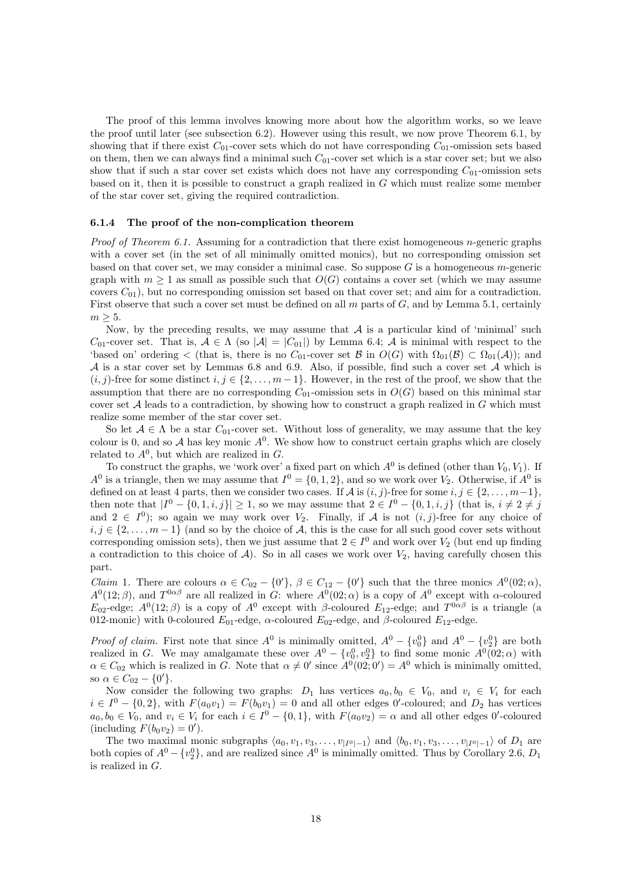The proof of this lemma involves knowing more about how the algorithm works, so we leave the proof until later (see subsection 6.2). However using this result, we now prove Theorem 6.1, by showing that if there exist  $C_{01}$ -cover sets which do not have corresponding  $C_{01}$ -omission sets based on them, then we can always find a minimal such  $C_{01}$ -cover set which is a star cover set; but we also show that if such a star cover set exists which does not have any corresponding  $C_{01}$ -omission sets based on it, then it is possible to construct a graph realized in G which must realize some member of the star cover set, giving the required contradiction.

#### 6.1.4 The proof of the non-complication theorem

*Proof of Theorem 6.1.* Assuming for a contradiction that there exist homogeneous *n*-generic graphs with a cover set (in the set of all minimally omitted monics), but no corresponding omission set based on that cover set, we may consider a minimal case. So suppose  $G$  is a homogeneous m-generic graph with  $m \geq 1$  as small as possible such that  $O(G)$  contains a cover set (which we may assume covers  $C_{01}$ , but no corresponding omission set based on that cover set; and aim for a contradiction. First observe that such a cover set must be defined on all  $m$  parts of  $G$ , and by Lemma 5.1, certainly  $m \geq 5$ .

Now, by the preceding results, we may assume that  $A$  is a particular kind of 'minimal' such  $C_{01}$ -cover set. That is,  $A \in \Lambda$  (so  $|\mathcal{A}| = |C_{01}|$ ) by Lemma 6.4; A is minimal with respect to the 'based on' ordering  $\lt$  (that is, there is no  $C_{01}$ -cover set  $\mathcal B$  in  $O(G)$  with  $\Omega_{01}(\mathcal B) \subset \Omega_{01}(\mathcal A)$ ); and  $A$  is a star cover set by Lemmas 6.8 and 6.9. Also, if possible, find such a cover set  $A$  which is  $(i, j)$ -free for some distinct  $i, j \in \{2, ..., m-1\}$ . However, in the rest of the proof, we show that the assumption that there are no corresponding  $C_{01}$ -omission sets in  $O(G)$  based on this minimal star cover set  $A$  leads to a contradiction, by showing how to construct a graph realized in  $G$  which must realize some member of the star cover set.

So let  $A \in \Lambda$  be a star  $C_{01}$ -cover set. Without loss of generality, we may assume that the key colour is 0, and so A has key monic  $A^0$ . We show how to construct certain graphs which are closely related to  $A^0$ , but which are realized in G.

To construct the graphs, we 'work over' a fixed part on which  $A^0$  is defined (other than  $V_0, V_1$ ). If  $A^0$  is a triangle, then we may assume that  $I^0 = \{0, 1, 2\}$ , and so we work over  $V_2$ . Otherwise, if  $A^0$  is defined on at least 4 parts, then we consider two cases. If  $\mathcal A$  is  $(i, j)$ -free for some  $i, j \in \{2, \ldots, m-1\},$ then note that  $|I^0 - \{0, 1, i, j\}| \geq 1$ , so we may assume that  $2 \in I^0 - \{0, 1, i, j\}$  (that is,  $i \neq 2 \neq j$ and  $2 \in I^0$ ); so again we may work over  $V_2$ . Finally, if A is not  $(i, j)$ -free for any choice of  $i, j \in \{2, \ldots, m-1\}$  (and so by the choice of A, this is the case for all such good cover sets without corresponding omission sets), then we just assume that  $2 \in I^0$  and work over  $V_2$  (but end up finding a contradiction to this choice of  $A$ ). So in all cases we work over  $V_2$ , having carefully chosen this part.

*Claim* 1. There are colours  $\alpha \in C_{02} - \{0\}$ ,  $\beta \in C_{12} - \{0\}$  such that the three monics  $A^0(02;\alpha)$ ,  $A^0(12;\beta)$ , and  $T^{0\alpha\beta}$  are all realized in G: where  $A^0(02;\alpha)$  is a copy of  $A^0$  except with  $\alpha$ -coloured  $E_{02}$ -edge;  $A^{0}(12;\beta)$  is a copy of  $A^{0}$  except with β-coloured  $E_{12}$ -edge; and  $T^{0\alpha\beta}$  is a triangle (a 012-monic) with 0-coloured  $E_{01}$ -edge,  $\alpha$ -coloured  $E_{02}$ -edge, and  $\beta$ -coloured  $E_{12}$ -edge.

*Proof of claim.* First note that since  $A^0$  is minimally omitted,  $A^0 - \{v_0^0\}$  and  $A^0 - \{v_2^0\}$  are both realized in G. We may amalgamate these over  $A^0 - \{v_0^0, v_2^0\}$  to find some monic  $A^0(02;\alpha)$  with  $\alpha \in C_{02}$  which is realized in G. Note that  $\alpha \neq 0'$  since  $A^{0}(02;0') = A^{0}$  which is minimally omitted, so  $\alpha \in C_{02} - \{0\}$ .

Now consider the following two graphs:  $D_1$  has vertices  $a_0, b_0 \in V_0$ , and  $v_i \in V_i$  for each  $i \in I^0 - \{0, 2\}$ , with  $F(a_0v_1) = F(b_0v_1) = 0$  and all other edges 0'-coloured; and  $D_2$  has vertices  $a_0, b_0 \in V_0$ , and  $v_i \in V_i$  for each  $i \in I^0 - \{0, 1\}$ , with  $F(a_0v_2) = \alpha$  and all other edges 0'-coloured (including  $F(b_0v_2) = 0'$ ).

The two maximal monic subgraphs  $\langle a_0, v_1, v_3, \ldots, v_{|I^0|-1} \rangle$  and  $\langle b_0, v_1, v_3, \ldots, v_{|I^0|-1} \rangle$  of  $D_1$  are both copies of  $A^0 - \{v_2^0\}$ , and are realized since  $A^0$  is minimally omitted. Thus by Corollary 2.6,  $D_1$ is realized in G.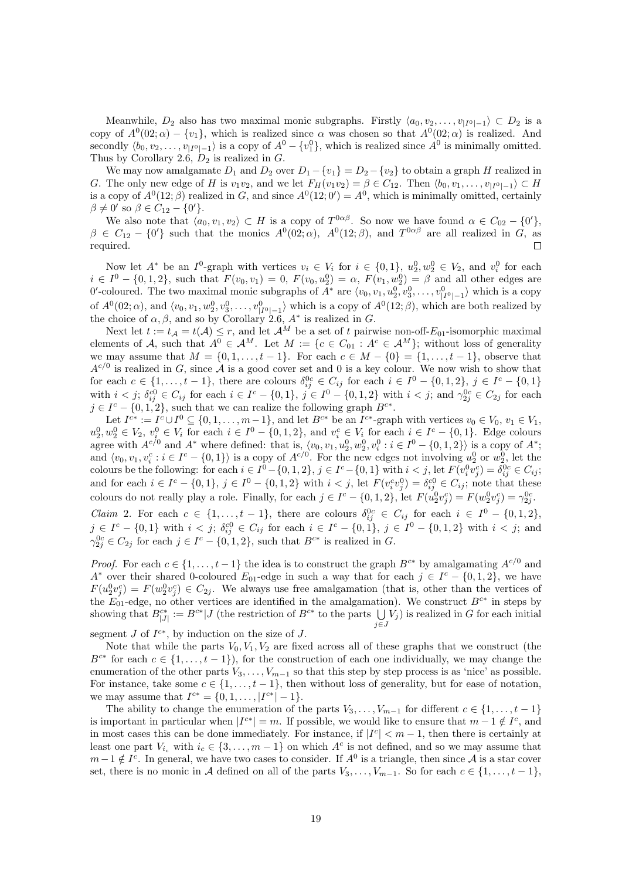Meanwhile,  $D_2$  also has two maximal monic subgraphs. Firstly  $\langle a_0, v_2, \ldots, v_{|I^0|-1} \rangle \subset D_2$  is a copy of  $A^0(02;\alpha) - \{v_1\}$ , which is realized since  $\alpha$  was chosen so that  $A^0(02;\alpha)$  is realized. And secondly  $\langle b_0, v_2, \ldots, v_{|I^0|-1} \rangle$  is a copy of  $A^0 - \{v_1^0\}$ , which is realized since  $A^0$  is minimally omitted. Thus by Corollary 2.6,  $D_2$  is realized in  $G$ .

We may now amalgamate  $D_1$  and  $D_2$  over  $D_1 - \{v_1\} = D_2 - \{v_2\}$  to obtain a graph H realized in G. The only new edge of H is  $v_1v_2$ , and we let  $F_H(v_1v_2) = \beta \in C_{12}$ . Then  $\langle b_0, v_1, \ldots, v_{|I^0|-1} \rangle \subset H$ is a copy of  $A^0(12;\beta)$  realized in G, and since  $A^0(12;0') = A^0$ , which is minimally omitted, certainly  $\beta \neq 0'$  so  $\beta \in C_{12} - \{0'\}.$ 

We also note that  $\langle a_0, v_1, v_2 \rangle \subset H$  is a copy of  $T^{0\alpha\beta}$ . So now we have found  $\alpha \in C_{02} - \{0\}$ ,  $\beta \in C_{12} - \{0\}$  such that the monics  $A^0(02; \alpha)$ ,  $A^0(12; \beta)$ , and  $T^{0\alpha\beta}$  are all realized in G, as required.  $\Box$ 

Now let  $A^*$  be an  $I^0$ -graph with vertices  $v_i \in V_i$  for  $i \in \{0,1\}$ ,  $u_2^0, w_2^0 \in V_2$ , and  $v_i^0$  for each  $i \in I^0 - \{0, 1, 2\}$ , such that  $F(v_0, v_1) = 0$ ,  $F(v_0, u_2^0) = \alpha$ ,  $F(v_1, w_2^0) = \beta$  and all other edges are  $v \in T - \{0, 1, 2\}$ , such that  $T(v_0, v_1) = 0$ ,  $T(v_0, u_2) = \alpha$ ,  $T(v_1, u_2) = \beta$  and an other edges are  $0'$ -coloured. The two maximal monic subgraphs of  $A^*$  are  $\langle v_0, v_1, u_2^0, v_3^0, \dots, v_{|I^0|-1}^0 \rangle$  which is a copy of  $A^0(02;\alpha)$ , and  $\langle v_0, v_1, w_2^0, v_3^0, \ldots, v_{|I^0|-1}^0 \rangle$  which is a copy of  $A^0(12;\beta)$ , which are both realized by the choice of  $\alpha, \beta$ , and so by Corollary 2.6,  $A^*$  is realized in G.

Next let  $t := t_{\mathcal{A}} = t(\mathcal{A}) \leq r$ , and let  $\mathcal{A}^M$  be a set of t pairwise non-off- $E_{01}$ -isomorphic maximal elements of A, such that  $A^0 \in \mathcal{A}^M$ . Let  $M := \{c \in C_{01} : A^c \in \mathcal{A}^M\}$ ; without loss of generality we may assume that  $M = \{0, 1, \ldots, t-1\}$ . For each  $c \in M - \{0\} = \{1, \ldots, t-1\}$ , observe that  $A^{c/0}$  is realized in G, since A is a good cover set and 0 is a key colour. We now wish to show that for each  $c \in \{1, ..., t-1\}$ , there are colours  $\delta_{ij}^{0c} \in C_{ij}$  for each  $i \in I^0 - \{0, 1, 2\}$ ,  $j \in I^c - \{0, 1\}$ with  $i < j$ ;  $\delta_{ij}^{c0} \in C_{ij}$  for each  $i \in I^c - \{0,1\}$ ,  $j \in I^0 - \{0,1,2\}$  with  $i < j$ ; and  $\gamma_{2j}^{0c} \in C_{2j}$  for each  $j \in I^c - \{0, 1, 2\}$ , such that we can realize the following graph  $B^{c*}$ .

Let  $I^{c*} := I^c \cup I^0 \subseteq \{0, 1, \ldots, m-1\}$ , and let  $B^{c*}$  be an  $I^{c*}$ -graph with vertices  $v_0 \in V_0$ ,  $v_1 \in V_1$ ,  $u_2^0, w_2^0 \in V_2, v_1^0 \in V_i$  for each  $i \in I^0 - \{0, 1, 2\}$ , and  $v_i^c \in V_i$  for each  $i \in I^c - \{0, 1\}$ . Edge colours  $u_2, w_2 \in V_2, v_i \in V_i$  for each  $i \in T - \{0, 1, 2\}$ , and  $v_i \in V_i$  for each  $i \in T - \{0, 1, 2\}$  is a copy of  $A^*$ ;<br>agree with  $A^{c/0}$  and  $A^*$  where defined: that is,  $\langle v_0, v_1, u_2^0, w_2^0, v_i^0 : i \in I^0 - \{0, 1, 2\} \rangle$  is a and  $\langle v_0, v_1, v_i^c : i \in I^c - \{0, 1\} \rangle$  is a copy of  $A^{c/0}$ . For the new edges not involving  $u_2^0$  or  $w_2^0$ , let the colours be the following: for each  $i \in I^0 - \{0, 1, 2\}$ ,  $j \in I^c - \{0, 1\}$  with  $i < j$ , let  $F(v_i^0 v_j^c) = \delta_{ij}^{0c} \in C_{ij}$ ; and for each  $i \in I^c - \{0, 1\}, j \in I^0 - \{0, 1, 2\}$  with  $i < j$ , let  $F(v_i^c v_j^0) = \delta_{ij}^{c0} \in C_{ij}$ ; note that these colours do not really play a role. Finally, for each  $j \in I^c - \{0, 1, 2\}$ , let  $F(u_2^0 v_j^c) = F(w_2^0 v_j^c) = \gamma_{2j}^{0c}$ .

*Claim* 2. For each  $c \in \{1, \ldots, t-1\}$ , there are colours  $\delta_{ij}^{0c} \in C_{ij}$  for each  $i \in I^0 - \{0, 1, 2\}$ ,  $j \in I^c - \{0,1\}$  with  $i < j$ ;  $\delta_{ij}^{c0} \in C_{ij}$  for each  $i \in I^c - \{0,1\}$ ,  $j \in I^0 - \{0,1,2\}$  with  $i < j$ ; and  $\gamma_{2j}^{0c} \in C_{2j}$  for each  $j \in I^c - \{0, 1, 2\}$ , such that  $B^{c*}$  is realized in G.

*Proof.* For each  $c \in \{1, \ldots, t-1\}$  the idea is to construct the graph  $B^{c*}$  by amalgamating  $A^{c/0}$  and A<sup>\*</sup> over their shared 0-coloured  $E_{01}$ -edge in such a way that for each  $j \in I^{c} - \{0, 1, 2\}$ , we have  $F(u_2^0v_j^c) = F(w_2^0v_j^c) \in C_{2j}$ . We always use free amalgamation (that is, other than the vertices of the  $E_{01}$ -edge, no other vertices are identified in the amalgamation). We construct  $B^{c*}$  in steps by showing that  $B_{|J|}^{c*} := B^{c*} |J|$  (the restriction of  $B^{c*}$  to the parts  $\bigcup V_j$ ) is realized in G for each initial j∈J

segment  $J$  of  $I^{c*}$ , by induction on the size of  $J$ .

Note that while the parts  $V_0, V_1, V_2$  are fixed across all of these graphs that we construct (the  $B^{c*}$  for each  $c \in \{1, \ldots, t-1\}$ , for the construction of each one individually, we may change the enumeration of the other parts  $V_3, \ldots, V_{m-1}$  so that this step by step process is as 'nice' as possible. For instance, take some  $c \in \{1, \ldots, t-1\}$ , then without loss of generality, but for ease of notation, we may assume that  $I^{c*} = \{0, 1, ..., |I^{c*}|-1\}.$ 

The ability to change the enumeration of the parts  $V_3, \ldots, V_{m-1}$  for different  $c \in \{1, \ldots, t-1\}$ is important in particular when  $|I^{c*}| = m$ . If possible, we would like to ensure that  $m-1 \notin I^c$ , and in most cases this can be done immediately. For instance, if  $|I^c| < m - 1$ , then there is certainly at least one part  $V_{i_c}$  with  $i_c \in \{3, \ldots, m-1\}$  on which  $A^c$  is not defined, and so we may assume that  $m-1 \notin I^c$ . In general, we have two cases to consider. If  $A^0$  is a triangle, then since A is a star cover set, there is no monic in A defined on all of the parts  $V_3, \ldots, V_{m-1}$ . So for each  $c \in \{1, \ldots, t-1\}$ ,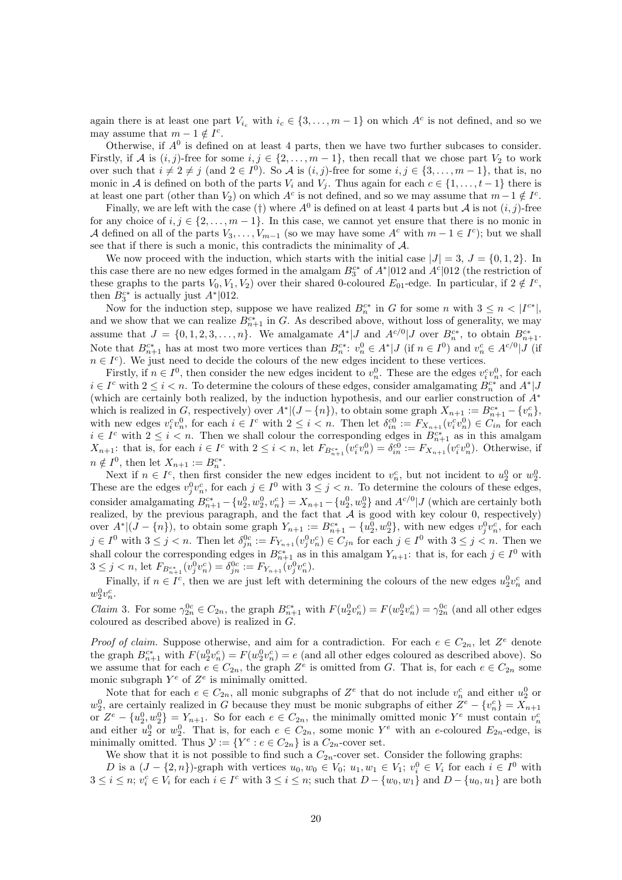again there is at least one part  $V_{i_c}$  with  $i_c \in \{3, \ldots, m-1\}$  on which  $A^c$  is not defined, and so we may assume that  $m-1 \notin I^c$ .

Otherwise, if  $A^0$  is defined on at least 4 parts, then we have two further subcases to consider. Firstly, if A is  $(i, j)$ -free for some  $i, j \in \{2, \ldots, m-1\}$ , then recall that we chose part  $V_2$  to work over such that  $i \neq 2 \neq j$  (and  $2 \in I^0$ ). So A is  $(i, j)$ -free for some  $i, j \in \{3, ..., m-1\}$ , that is, no monic in A is defined on both of the parts  $V_i$  and  $V_j$ . Thus again for each  $c \in \{1, \ldots, t-1\}$  there is at least one part (other than  $V_2$ ) on which  $A^c$  is not defined, and so we may assume that  $m-1 \notin I^c$ .

Finally, we are left with the case (†) where  $A^0$  is defined on at least 4 parts but A is not  $(i, j)$ -free for any choice of  $i, j \in \{2, ..., m-1\}$ . In this case, we cannot yet ensure that there is no monic in A defined on all of the parts  $V_3, \ldots, V_{m-1}$  (so we may have some  $A^c$  with  $m-1 \in I^c$ ); but we shall see that if there is such a monic, this contradicts the minimality of A.

We now proceed with the induction, which starts with the initial case  $|J| = 3$ ,  $J = \{0, 1, 2\}$ . In this case there are no new edges formed in the amalgam  $B_3^{c*}$  of  $A^*|012$  and  $A^c|012$  (the restriction of these graphs to the parts  $V_0, V_1, V_2$  over their shared 0-coloured  $E_{01}$ -edge. In particular, if  $2 \notin I^c$ , then  $B_3^{c*}$  is actually just  $A^*|012$ .

Now for the induction step, suppose we have realized  $B_n^{c*}$  in G for some n with  $3 \leq n < |I^{c*}|$ , and we show that we can realize  $B_{n+1}^{c*}$  in G. As described above, without loss of generality, we may assume that  $J = \{0, 1, 2, 3, \ldots, n\}$ . We amalgamate  $A^*|J$  and  $A^{c/0}|J$  over  $B_n^{c*}$ , to obtain  $B_{n+1}^{c*}$ . Note that  $B_{n+1}^{c*}$  has at most two more vertices than  $B_n^{c*}: v_n^0 \in A^* | J$  (if  $n \in I^0$ ) and  $v_n^c \in A^{c/0} | J$  (if  $n \in I<sup>c</sup>$ ). We just need to decide the colours of the new edges incident to these vertices.

Firstly, if  $n \in I^0$ , then consider the new edges incident to  $v_n^0$ . These are the edges  $v_i^cv_n^0$ , for each  $i \in I^c$  with  $2 \leq i < n$ . To determine the colours of these edges, consider amalgamating  $B_n^{c*}$  and  $A^*|J$ (which are certainly both realized, by the induction hypothesis, and our earlier construction of  $A^*$ which is realized in G, respectively) over  $A^*|(J - \{n\})$ , to obtain some graph  $X_{n+1} := B_{n+1}^{c*} - \{v_n^c\}$ , with new edges  $v_i^c v_n^0$ , for each  $i \in I^c$  with  $2 \leq i < n$ . Then let  $\delta_{in}^{c0} := F_{X_{n+1}}(v_i^c v_n^0) \in C_{in}$  for each  $i \in I^c$  with  $2 \leq i < n$ . Then we shall colour the corresponding edges in  $B^{c*}_{n+1}$  as in this amalgam  $X_{n+1}$ : that is, for each  $i \in I^c$  with  $2 \leq i < n$ , let  $F_{B^{c*}_{n+1}}(v_i^c v_n^0) = \delta_{in}^{c0} := F_{X_{n+1}}(v_i^c v_n^0)$ . Otherwise, if  $n \notin I^0$ , then let  $X_{n+1} := B_n^{c*}$ .

Next if  $n \in I^c$ , then first consider the new edges incident to  $v_n^c$ , but not incident to  $u_2^0$  or  $w_2^0$ . These are the edges  $v_j^0 v_n^c$ , for each  $j \in I^0$  with  $3 \leq j < n$ . To determine the colours of these edges, consider amalgamating  $B_{n+1}^{c*} - \{u_2^0, w_2^0, v_n^c\} = X_{n+1} - \{u_2^0, w_2^0\}$  and  $A^{c/0}$ , which are certainly both realized, by the previous paragraph, and the fact that  $\overline{\mathcal{A}}$  is good with key colour 0, respectively) over  $A^*|(J - \{n\})$ , to obtain some graph  $Y_{n+1} := B_{n+1}^{c*} - \{u_2^0, w_2^0\}$ , with new edges  $v_j^0v_n^c$ , for each  $j \in I^0$  with  $3 \leq j < n$ . Then let  $\delta_{jn}^{0c} := F_{Y_{n+1}}(v_j^0 v_n^c) \in C_{jn}$  for each  $j \in I^0$  with  $3 \leq j < n$ . Then we shall colour the corresponding edges in  $B_{n+1}^{c*}$  as in this amalgam  $Y_{n+1}$ : that is, for each  $j \in I^0$  with  $3 \leq j < n$ , let  $F_{B_{n+1}^{c*}}(v_j^0 v_n^c) = \delta_{jn}^{0c} := F_{Y_{n+1}}(v_j^0 v_n^c)$ .

Finally, if  $n \in I^c$ , then we are just left with determining the colours of the new edges  $u_2^0 v_n^c$  and  $w_2^0v_n^c$ .

*Claim* 3. For some  $\gamma_{2n}^{0c} \in C_{2n}$ , the graph  $B_{n+1}^{c*}$  with  $F(u_2^0 v_n^c) = F(u_2^0 v_n^c) = \gamma_{2n}^{0c}$  (and all other edges coloured as described above) is realized in G.

*Proof of claim.* Suppose otherwise, and aim for a contradiction. For each  $e \in C_{2n}$ , let  $Z^e$  denote the graph  $B_{n+1}^{c*}$  with  $F(u_2^0 v_n^c) = F(w_2^0 v_n^c) = e$  (and all other edges coloured as described above). So we assume that for each  $e \in C_{2n}$ , the graph  $Z^e$  is omitted from G. That is, for each  $e \in C_{2n}$  some monic subgraph  $Y^e$  of  $Z^e$  is minimally omitted.

Note that for each  $e \in C_{2n}$ , all monic subgraphs of  $Z^e$  that do not include  $v_n^c$  and either  $u_2^0$  or  $w_2^0$ , are certainly realized in G because they must be monic subgraphs of either  $Z^e - \{v_n^c\} = X_{n+1}$ or  $Z^e - \{u_2^0, w_2^0\} = Y_{n+1}$ . So for each  $e \in C_{2n}$ , the minimally omitted monic  $Y^e$  must contain  $v_n^c$ and either  $u_2^0$  or  $w_2^0$ . That is, for each  $e \in C_{2n}$ , some monic  $Y^e$  with an e-coloured  $E_{2n}$ -edge, is minimally omitted. Thus  $\mathcal{Y} := \{ Y^e : e \in C_{2n} \}$  is a  $C_{2n}$ -cover set.

We show that it is not possible to find such a  $C_{2n}$ -cover set. Consider the following graphs:

D is a  $(J - \{2, n\})$ -graph with vertices  $u_0, w_0 \in V_0$ ;  $u_1, w_1 \in V_1$ ;  $v_i^0 \in V_i$  for each  $i \in I^0$  with  $3 \leq i \leq n$ ;  $v_i^c \in V_i$  for each  $i \in I^c$  with  $3 \leq i \leq n$ ; such that  $D - \{w_0, w_1\}$  and  $D - \{u_0, u_1\}$  are both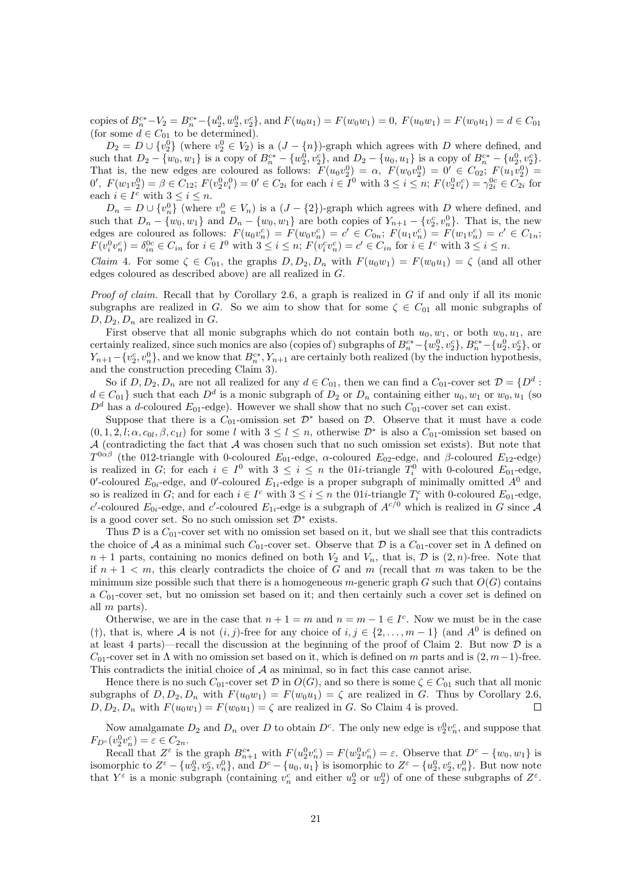copies of  $B_n^{c*} - V_2 = B_n^{c*} - \{u_2^0, w_2^0, v_2^c\}$ , and  $F(u_0u_1) = F(w_0w_1) = 0$ ,  $F(u_0w_1) = F(w_0u_1) = d \in C_{01}$ (for some  $d \in C_{01}$  to be determined).

 $D_2 = D \cup \{v_2^0\}$  (where  $v_2^0 \in V_2$ ) is a  $(J - \{n\})$ -graph which agrees with D where defined, and such that  $D_2 - \{w_0, w_1\}$  is a copy of  $B_n^{c*} - \{w_2^0, v_2^c\}$ , and  $D_2 - \{u_0, u_1\}$  is a copy of  $B_n^{c*} - \{u_2^0, v_2^c\}$ . That is, the new edges are coloured as follows:  $F(u_0v_2^0) = \alpha$ ,  $F(w_0v_2^0) = 0' \in C_{02}$ ;  $F(u_1v_2^0) =$  $0', F(w_1v_2^0) = \beta \in C_{12}; F(v_2^0v_1^0) = 0' \in C_{2i}$  for each  $i \in I^0$  with  $3 \le i \le n; F(v_2^0v_i^c) = \gamma_{2i}^{0c} \in C_{2i}$  for each  $i \in I^c$  with  $3 \leq i \leq n$ .

 $D_n = D \cup \{v_n^0\}$  (where  $v_n^0 \in V_n$ ) is a  $(J - \{2\})$ -graph which agrees with D where defined, and such that  $D_n - \{w_0, w_1\}$  and  $D_n - \{w_0, w_1\}$  are both copies of  $Y_{n+1} - \{v_2^c, v_n^0\}$ . That is, the new edges are coloured as follows:  $F(u_0v_n^c) = F(w_0v_n^c) = c' \in C_{0n}$ ;  $F(u_1v_n^c) = F(w_1v_n^c) = c' \in C_{1n}$ ;  $F(v_i^0v_n^c) = \delta_{in}^{0c} \in C_{in}$  for  $i \in I^0$  with  $3 \leq i \leq n$ ;  $F(v_i^cv_n^c) = c' \in C_{in}$  for  $i \in I^c$  with  $3 \leq i \leq n$ .

*Claim* 4. For some  $\zeta \in C_{01}$ , the graphs  $D, D_2, D_n$  with  $F(u_0w_1) = F(w_0u_1) = \zeta$  (and all other edges coloured as described above) are all realized in G.

*Proof of claim.* Recall that by Corollary 2.6, a graph is realized in  $G$  if and only if all its monic subgraphs are realized in G. So we aim to show that for some  $\zeta \in C_{01}$  all monic subgraphs of  $D, D_2, D_n$  are realized in G.

First observe that all monic subgraphs which do not contain both  $u_0, w_1$ , or both  $w_0, u_1$ , are certainly realized, since such monics are also (copies of) subgraphs of  $B_n^{c*} - \{w_2^0, v_2^c\}$ ,  $B_n^{c*} - \{u_2^0, v_2^c\}$ , or  $Y_{n+1} - \{v_2^c, v_n^0\}$ , and we know that  $B_n^{c*}, Y_{n+1}$  are certainly both realized (by the induction hypothesis, and the construction preceding Claim 3).

So if  $D, D_2, D_n$  are not all realized for any  $d \in C_{01}$ , then we can find a  $C_{01}$ -cover set  $\mathcal{D} = \{D^d :$  $d \in C_{01}$  such that each  $D^d$  is a monic subgraph of  $D_2$  or  $D_n$  containing either  $u_0, w_1$  or  $w_0, u_1$  (so  $D<sup>d</sup>$  has a d-coloured  $E_{01}$ -edge). However we shall show that no such  $C_{01}$ -cover set can exist.

Suppose that there is a  $C_{01}$ -omission set  $\mathcal{D}^*$  based on  $\mathcal{D}$ . Observe that it must have a code  $(0,1,2,l;\alpha,c_{0l},\beta,c_{1l})$  for some l with  $3 \leq l \leq n$ , otherwise  $\mathcal{D}^*$  is also a  $C_{01}$ -omission set based on  $A$  (contradicting the fact that  $A$  was chosen such that no such omission set exists). But note that  $T^{0\alpha\beta}$  (the 012-triangle with 0-coloured  $E_{01}$ -edge,  $\alpha$ -coloured  $E_{02}$ -edge, and  $\beta$ -coloured  $E_{12}$ -edge) is realized in G; for each  $i \in I^0$  with  $3 \leq i \leq n$  the 01*i*-triangle  $T_i^0$  with 0-coloured  $E_{01}$ -edge, 0'-coloured  $E_{0i}$ -edge, and 0'-coloured  $E_{1i}$ -edge is a proper subgraph of minimally omitted  $A^0$  and so is realized in G; and for each  $i \in I^c$  with  $3 \leq i \leq n$  the 01*i*-triangle  $T_i^c$  with 0-coloured  $E_{01}$ -edge, c'-coloured  $E_{0i}$ -edge, and c'-coloured  $E_{1i}$ -edge is a subgraph of  $A^{c/0}$  which is realized in G since A is a good cover set. So no such omission set  $\mathcal{D}^*$  exists.

Thus  $D$  is a  $C_{01}$ -cover set with no omission set based on it, but we shall see that this contradicts the choice of A as a minimal such  $C_{01}$ -cover set. Observe that D is a  $C_{01}$ -cover set in  $\Lambda$  defined on  $n+1$  parts, containing no monics defined on both  $V_2$  and  $V_n$ , that is,  $\mathcal{D}$  is  $(2, n)$ -free. Note that if  $n + 1 < m$ , this clearly contradicts the choice of G and m (recall that m was taken to be the minimum size possible such that there is a homogeneous m-generic graph  $G$  such that  $O(G)$  contains a  $C_{01}$ -cover set, but no omission set based on it; and then certainly such a cover set is defined on all  $m$  parts).

Otherwise, we are in the case that  $n + 1 = m$  and  $n = m - 1 \in I<sup>c</sup>$ . Now we must be in the case (†), that is, where A is not  $(i, j)$ -free for any choice of  $i, j \in \{2, ..., m-1\}$  (and  $A^0$  is defined on at least 4 parts)—recall the discussion at the beginning of the proof of Claim 2. But now  $\mathcal D$  is a  $C_{01}$ -cover set in  $\Lambda$  with no omission set based on it, which is defined on m parts and is  $(2, m-1)$ -free. This contradicts the initial choice of  $A$  as minimal, so in fact this case cannot arise.

Hence there is no such  $C_{01}$ -cover set  $\mathcal D$  in  $O(G)$ , and so there is some  $\zeta \in C_{01}$  such that all monic subgraphs of  $D, D_2, D_n$  with  $F(u_0w_1) = F(w_0u_1) = \zeta$  are realized in G. Thus by Corollary 2.6,  $D, D_2, D_n$  with  $F(u_0w_1) = F(w_0u_1) = \zeta$  are realized in G. So Claim 4 is proved.  $\Box$ 

Now amalgamate  $D_2$  and  $D_n$  over D to obtain  $D^c$ . The only new edge is  $v_2^0v_n^c$ , and suppose that  $F_{D^c}(v_2^0v_n^c)=\varepsilon\in C_{2n}.$ 

Recall that  $Z^{\varepsilon}$  is the graph  $B_{n+1}^{c*}$  with  $F(u_2^0 v_n^c) = F(w_2^0 v_n^c) = \varepsilon$ . Observe that  $D^c - \{w_0, w_1\}$  is isomorphic to  $Z^{\varepsilon} - \{w_2^0, v_2^c, v_n^0\}$ , and  $D^c - \{u_0, u_1\}$  is isomorphic to  $Z^{\varepsilon} - \{u_2^0, v_2^c, v_n^0\}$ . But now note that  $Y^{\varepsilon}$  is a monic subgraph (containing  $v_n^c$  and either  $u_2^0$  or  $w_2^0$ ) of one of these subgraphs of  $Z^{\varepsilon}$ .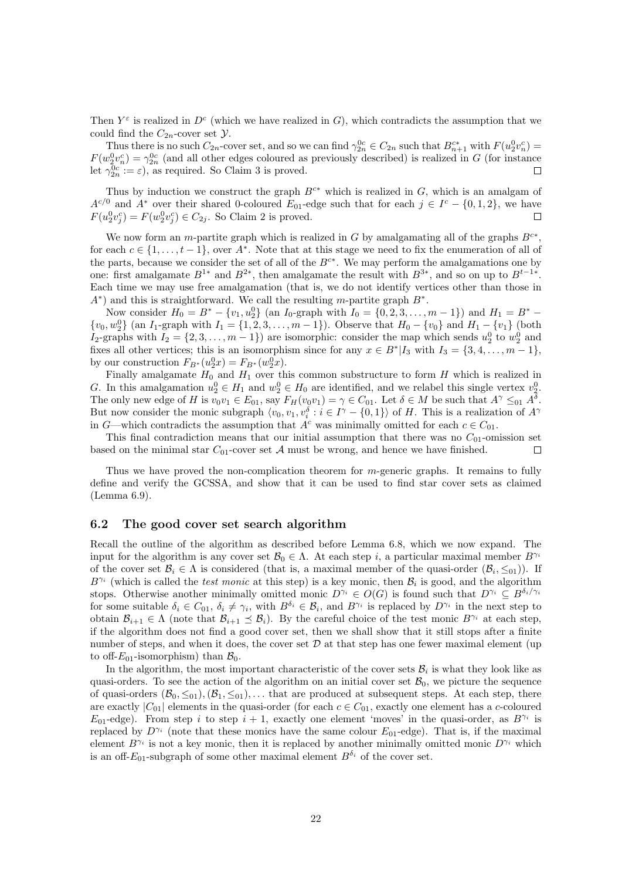Then  $Y^{\varepsilon}$  is realized in  $D^c$  (which we have realized in G), which contradicts the assumption that we could find the  $C_{2n}$ -cover set  $\mathcal{Y}$ .

Thus there is no such  $C_{2n}$ -cover set, and so we can find  $\gamma_{2n}^{0c} \in C_{2n}$  such that  $B_{n+1}^{c*}$  with  $F(u_2^0 v_n^c)$  $F(w_2^0 v_n^c) = \gamma_{2n}^{0c}$  (and all other edges coloured as previously described) is realized in G (for instance let  $\gamma_{2n}^{0c} := \varepsilon$ , as required. So Claim 3 is proved.  $\Box$ 

Thus by induction we construct the graph  $B^{c*}$  which is realized in G, which is an amalgam of  $A^{c/0}$  and  $A^*$  over their shared 0-coloured  $E_{01}$ -edge such that for each  $j \in I^c - \{0, 1, 2\}$ , we have  $F(u_2^0 v_j^c) = F(w_2^0 v_j^c) \in C_{2j}$ . So Claim 2 is proved.  $\Box$ 

We now form an m-partite graph which is realized in G by amalgamating all of the graphs  $B^{c*}$ , for each  $c \in \{1, \ldots, t-1\}$ , over  $A^*$ . Note that at this stage we need to fix the enumeration of all of the parts, because we consider the set of all of the  $B^{c*}$ . We may perform the amalgamations one by one: first amalgamate  $B^{1*}$  and  $B^{2*}$ , then amalgamate the result with  $B^{3*}$ , and so on up to  $B^{t-1*}$ . Each time we may use free amalgamation (that is, we do not identify vertices other than those in  $A^*$ ) and this is straightforward. We call the resulting m-partite graph  $B^*$ .

Now consider  $H_0 = B^* - \{v_1, u_2^0\}$  (an  $I_0$ -graph with  $I_0 = \{0, 2, 3, ..., m-1\}$ ) and  $H_1 = B^*$  $\{v_0, w_2^0\}$  (an  $I_1$ -graph with  $I_1 = \{1, 2, 3, ..., m-1\}$ ). Observe that  $H_0 - \{v_0\}$  and  $H_1 - \{v_1\}$  (both I<sub>2</sub>-graphs with  $I_2 = \{2, 3, ..., m-1\}$  are isomorphic: consider the map which sends  $u_2^0$  to  $w_2^0$  and fixes all other vertices; this is an isomorphism since for any  $x \in B^* \mid I_3$  with  $I_3 = \{3, 4, \ldots, m-1\}$ , by our construction  $F_{B^*}(u_2^0 x) = F_{B^*}(w_2^0 x)$ .

Finally amalgamate  $H_0$  and  $H_1$  over this common substructure to form H which is realized in G. In this amalgamation  $u_2^0 \in H_1$  and  $w_2^0 \in H_0$  are identified, and we relabel this single vertex  $v_2^0$ . The only new edge of H is  $v_0v_1 \in E_{01}$ , say  $F_H(v_0v_1) = \gamma \in C_{01}$ . Let  $\delta \in M$  be such that  $A^{\gamma} \leq_{01} A^{\delta}$ . But now consider the monic subgraph  $\langle v_0, v_1, v_i^{\delta} : i \in I^{\gamma} - \{0,1\} \rangle$  of H. This is a realization of  $A^{\gamma}$ in G—which contradicts the assumption that  $A^c$  was minimally omitted for each  $c \in C_{01}$ .

This final contradiction means that our initial assumption that there was no  $C_{01}$ -omission set based on the minimal star  $C_{01}$ -cover set A must be wrong, and hence we have finished.  $\Box$ 

Thus we have proved the non-complication theorem for m-generic graphs. It remains to fully define and verify the GCSSA, and show that it can be used to find star cover sets as claimed (Lemma 6.9).

#### 6.2 The good cover set search algorithm

Recall the outline of the algorithm as described before Lemma 6.8, which we now expand. The input for the algorithm is any cover set  $\mathcal{B}_0 \in \Lambda$ . At each step i, a particular maximal member  $B^{\gamma_i}$ of the cover set  $\mathcal{B}_i \in \Lambda$  is considered (that is, a maximal member of the quasi-order  $(\mathcal{B}_i, \leq_{01})$ ). If  $B^{\gamma_i}$  (which is called the *test monic* at this step) is a key monic, then  $\mathcal{B}_i$  is good, and the algorithm stops. Otherwise another minimally omitted monic  $D^{\gamma_i} \in O(G)$  is found such that  $D^{\gamma_i} \subseteq B^{\delta_i/\gamma_i}$ for some suitable  $\delta_i \in C_{01}$ ,  $\delta_i \neq \gamma_i$ , with  $B^{\delta_i} \in \mathcal{B}_i$ , and  $B^{\gamma_i}$  is replaced by  $D^{\gamma_i}$  in the next step to obtain  $\mathcal{B}_{i+1} \in \Lambda$  (note that  $\mathcal{B}_{i+1} \preceq \mathcal{B}_i$ ). By the careful choice of the test monic  $B^{\gamma_i}$  at each step, if the algorithm does not find a good cover set, then we shall show that it still stops after a finite number of steps, and when it does, the cover set  $D$  at that step has one fewer maximal element (up to off- $E_{01}$ -isomorphism) than  $\mathcal{B}_0$ .

In the algorithm, the most important characteristic of the cover sets  $B_i$  is what they look like as quasi-orders. To see the action of the algorithm on an initial cover set  $\mathcal{B}_0$ , we picture the sequence of quasi-orders  $(\mathcal{B}_0, \leq_{01}), (\mathcal{B}_1, \leq_{01}), \ldots$  that are produced at subsequent steps. At each step, there are exactly  $|C_{01}|$  elements in the quasi-order (for each  $c \in C_{01}$ , exactly one element has a c-coloured  $E_{01}$ -edge). From step i to step  $i + 1$ , exactly one element 'moves' in the quasi-order, as  $B^{\gamma_i}$  is replaced by  $D^{\gamma_i}$  (note that these monics have the same colour  $E_{01}$ -edge). That is, if the maximal element  $B^{\gamma_i}$  is not a key monic, then it is replaced by another minimally omitted monic  $D^{\gamma_i}$  which is an off- $E_{01}$ -subgraph of some other maximal element  $B^{\delta_i}$  of the cover set.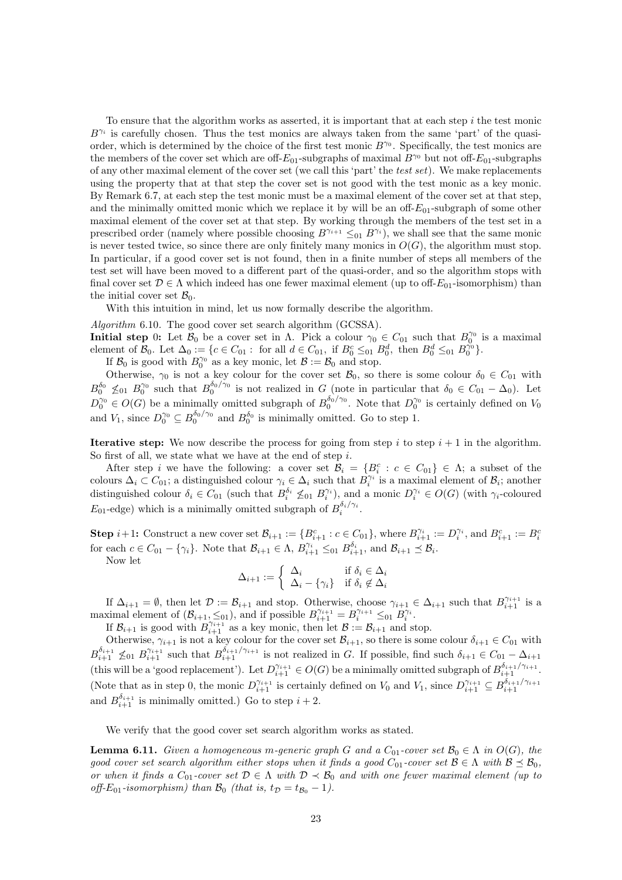To ensure that the algorithm works as asserted, it is important that at each step  $i$  the test monic  $B^{\gamma_i}$  is carefully chosen. Thus the test monics are always taken from the same 'part' of the quasiorder, which is determined by the choice of the first test monic  $B^{\gamma_0}$ . Specifically, the test monics are the members of the cover set which are off- $E_{01}$ -subgraphs of maximal  $B^{\gamma_0}$  but not off- $E_{01}$ -subgraphs of any other maximal element of the cover set (we call this 'part' the test set). We make replacements using the property that at that step the cover set is not good with the test monic as a key monic. By Remark 6.7, at each step the test monic must be a maximal element of the cover set at that step, and the minimally omitted monic which we replace it by will be an off- $E_{01}$ -subgraph of some other maximal element of the cover set at that step. By working through the members of the test set in a prescribed order (namely where possible choosing  $B^{\gamma_{i+1}} \leq_{0} B^{\gamma_i}$ ), we shall see that the same monic is never tested twice, so since there are only finitely many monics in  $O(G)$ , the algorithm must stop. In particular, if a good cover set is not found, then in a finite number of steps all members of the test set will have been moved to a different part of the quasi-order, and so the algorithm stops with final cover set  $\mathcal{D} \in \Lambda$  which indeed has one fewer maximal element (up to off- $E_{01}$ -isomorphism) than the initial cover set  $\mathcal{B}_0$ .

With this intuition in mind, let us now formally describe the algorithm.

Algorithm 6.10. The good cover set search algorithm (GCSSA).

**Initial step** 0: Let  $\mathcal{B}_0$  be a cover set in  $\Lambda$ . Pick a colour  $\gamma_0 \in C_{01}$  such that  $B_0^{\gamma_0}$  is a maximal element of  $B_0$ . Let  $\Delta_0 := \{c \in C_{01} : \text{ for all } d \in C_{01}, \text{ if } B_0^c \leq_{01} B_0^d, \text{ then } B_0^d \leq_{01} B_0^{\gamma_0} \}.$ 

If  $\mathcal{B}_0$  is good with  $B_0^{\gamma_0}$  as a key monic, let  $\mathcal{B} := \mathcal{B}_0$  and stop.

If  $D_0$  is good with  $D_0$  as a key moint, let  $D_0 = D_0$  and stop.<br>Otherwise,  $γ_0$  is not a key colour for the cover set  $\mathcal{B}_0$ , so there is some colour  $δ_0 ∈ C_{01}$  with  $B_0^{\delta_0}$   $\leq_{01} B_0^{\gamma_0}$  such that  $B_0^{\delta_0/\gamma_0}$  is not realized in G (note in particular that  $\delta_0 \in C_{01} - \Delta_0$ ). Let  $D_0^{\gamma_0} \in O(G)$  be a minimally omitted subgraph of  $B_0^{\delta_0/\gamma_0}$ . Note that  $D_0^{\gamma_0}$  is certainly defined on  $V_0$ and  $V_1$ , since  $D_0^{\gamma_0} \subseteq B_0^{\delta_0/\gamma_0}$  and  $B_0^{\delta_0}$  is minimally omitted. Go to step 1.

**Iterative step:** We now describe the process for going from step i to step  $i + 1$  in the algorithm. So first of all, we state what we have at the end of step  $i$ .

After step *i* we have the following: a cover set  $\mathcal{B}_i = \{B_i^c : c \in C_{01}\} \in \Lambda$ ; a subset of the colours  $\Delta_i \subset C_{01}$ ; a distinguished colour  $\gamma_i \in \Delta_i$  such that  $B_i^{\gamma_i}$  is a maximal element of  $\mathcal{B}_i$ ; another distinguished colour  $\delta_i \in C_{01}$  (such that  $B_i^{\delta_i} \not\leq_{01} B_i^{\gamma_i}$ ), and a monic  $D_i^{\gamma_i} \in O(G)$  (with  $\gamma_i$ -coloured  $E_{01}$ -edge) which is a minimally omitted subgraph of  $B_i^{\delta_i/\gamma_i}$ .

**Step**  $i+1$ : Construct a new cover set  $\mathcal{B}_{i+1} := \{B_{i+1}^c : c \in C_{01}\}$ , where  $B_{i+1}^{\gamma_i} := D_i^{\gamma_i}$ , and  $B_{i+1}^c := B_i^c$ for each  $c \in C_{01} - \{\gamma_i\}$ . Note that  $\mathcal{B}_{i+1} \in \Lambda$ ,  $B_{i+1}^{\gamma_i} \leq_{01} B_{i+1}^{\delta_i}$ , and  $\mathcal{B}_{i+1} \preceq \mathcal{B}_i$ .

Now let

$$
\Delta_{i+1} := \begin{cases} \Delta_i & \text{if } \delta_i \in \Delta_i \\ \Delta_i - \{\gamma_i\} & \text{if } \delta_i \notin \Delta_i \end{cases}
$$

If  $\Delta_{i+1} = \emptyset$ , then let  $\mathcal{D} := \mathcal{B}_{i+1}$  and stop. Otherwise, choose  $\gamma_{i+1} \in \Delta_{i+1}$  such that  $B_{i+1}^{\gamma_{i+1}}$  is a maximal element of  $(\mathcal{B}_{i+1}, \leq_{01})$ , and if possible  $B_{i+1}^{\gamma_{i+1}} = B_i^{\gamma_{i+1}} \leq_{01} B_i^{\gamma_i}$ .

If  $\mathcal{B}_{i+1}$  is good with  $B_{i+1}^{\gamma_{i+1}}$  as a key monic, then let  $\mathcal{B} := \mathcal{B}_{i+1}$  and stop.

Otherwise,  $\gamma_{i+1}$  is not a key colour for the cover set  $\mathcal{B}_{i+1}$ , so there is some colour  $\delta_{i+1} \in C_{01}$  with  $B_{i+1}^{\delta_{i+1}} \not\leq_{01} B_{i+1}^{\gamma_{i+1}}$  such that  $B_{i+1}^{\delta_{i+1}/\gamma_{i+1}}$  is not realized in G. If possible, find such  $\delta_{i+1} \in C_{01} - \Delta_{i+1}$ (this will be a 'good replacement'). Let  $D_{i+1}^{\gamma_{i+1}} \in O(G)$  be a minimally omitted subgraph of  $B_{i+1}^{\delta_{i+1}/\gamma_{i+1}}$ . (Note that as in step 0, the monic  $D_{i+1}^{\gamma_{i+1}}$  is certainly defined on  $V_0$  and  $V_1$ , since  $D_{i+1}^{\gamma_{i+1}} \subseteq B_{i+1}^{\delta_{i+1}/\gamma_{i+1}}$ and  $B_{i+1}^{\delta_{i+1}}$  is minimally omitted.) Go to step  $i + 2$ .

We verify that the good cover set search algorithm works as stated.

**Lemma 6.11.** Given a homogeneous m-generic graph G and a  $C_{01}$ -cover set  $\mathcal{B}_0 \in \Lambda$  in  $O(G)$ , the good cover set search algorithm either stops when it finds a good  $C_{01}$ -cover set  $\mathcal{B} \in \Lambda$  with  $\mathcal{B} \preceq \mathcal{B}_0$ , or when it finds a  $C_{01}$ -cover set  $\mathcal{D} \in \Lambda$  with  $\mathcal{D} \times \mathcal{B}_0$  and with one fewer maximal element (up to off-E<sub>01</sub>-isomorphism) than  $\mathcal{B}_0$  (that is,  $t_{\mathcal{D}} = t_{\mathcal{B}_0} - 1$ ).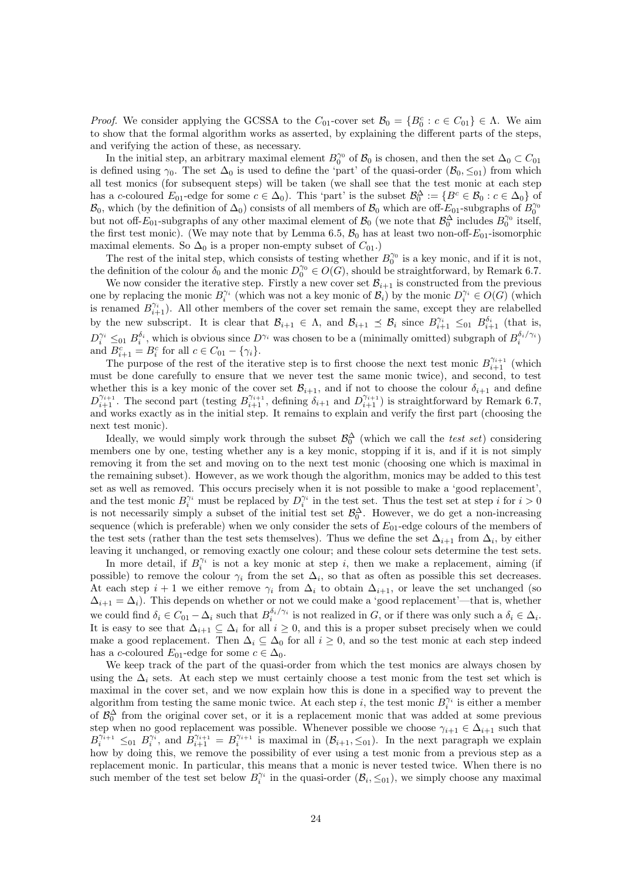*Proof.* We consider applying the GCSSA to the  $C_{01}$ -cover set  $\mathcal{B}_0 = \{B_0^c : c \in C_{01}\} \in \Lambda$ . We aim to show that the formal algorithm works as asserted, by explaining the different parts of the steps, and verifying the action of these, as necessary.

In the initial step, an arbitrary maximal element  $B_0^{\gamma_0}$  of  $\mathcal{B}_0$  is chosen, and then the set  $\Delta_0 \subset C_{01}$ is defined using  $\gamma_0$ . The set  $\Delta_0$  is used to define the 'part' of the quasi-order  $(\mathcal{B}_0, \leq_{01})$  from which all test monics (for subsequent steps) will be taken (we shall see that the test monic at each step has a c-coloured  $E_{01}$ -edge for some  $c \in \Delta_0$ ). This 'part' is the subset  $\mathcal{B}_0^{\Delta} := \{B^c \in \mathcal{B}_0 : c \in \Delta_0\}$  of  $\mathcal{B}_0$ , which (by the definition of  $\Delta_0$ ) consists of all members of  $\mathcal{B}_0$  which are off-E<sub>01</sub>-subgraphs of  $B_0^{\gamma_0}$ but not off- $E_{01}$ -subgraphs of any other maximal element of  $B_0$  (we note that  $B_0^{\Delta}$  includes  $B_0^{\gamma_0}$  itself, the first test monic). (We may note that by Lemma 6.5,  $\mathcal{B}_0$  has at least two non-off- $E_{01}$ -isomorphic maximal elements. So  $\Delta_0$  is a proper non-empty subset of  $C_{01}$ .)

The rest of the initial step, which consists of testing whether  $B_0^{\gamma_0}$  is a key monic, and if it is not, the definition of the colour  $\delta_0$  and the monic  $D_0^{\gamma_0} \in O(G)$ , should be straightforward, by Remark 6.7.

We now consider the iterative step. Firstly a new cover set  $\mathcal{B}_{i+1}$  is constructed from the previous one by replacing the monic  $B_i^{\gamma_i}$  (which was not a key monic of  $B_i$ ) by the monic  $D_i^{\gamma_i} \in O(G)$  (which is renamed  $B_{i+1}^{\gamma_i}$ ). All other members of the cover set remain the same, except they are relabelled by the new subscript. It is clear that  $\mathcal{B}_{i+1} \in \Lambda$ , and  $\mathcal{B}_{i+1} \preceq \mathcal{B}_i$  since  $B_{i+1}^{\gamma_i} \leq_{0} B_{i+1}^{\delta_i}$  (that is,  $D_i^{\gamma_i} \leq_{0} D_i^{\delta_i}$ , which is obvious since  $D^{\gamma_i}$  was chosen to be a (minimally omitted) subgraph of  $B_i^{\delta_i/\gamma_i}$ ) and  $B_{i+1}^c = B_i^c$  for all  $c \in C_{01} - {\gamma_i}$ .

The purpose of the rest of the iterative step is to first choose the next test monic  $B_{i+1}^{\gamma_{i+1}}$  (which must be done carefully to ensure that we never test the same monic twice), and second, to test whether this is a key monic of the cover set  $\mathcal{B}_{i+1}$ , and if not to choose the colour  $\delta_{i+1}$  and define  $D_{i+1}^{\gamma_{i+1}}$ . The second part (testing  $B_{i+1}^{\gamma_{i+1}}$ , defining  $\delta_{i+1}$  and  $D_{i+1}^{\gamma_{i+1}}$ ) is straightforward by Remark 6.7, and works exactly as in the initial step. It remains to explain and verify the first part (choosing the next test monic).

Ideally, we would simply work through the subset  $\mathcal{B}_0^{\Delta}$  (which we call the *test set*) considering members one by one, testing whether any is a key monic, stopping if it is, and if it is not simply removing it from the set and moving on to the next test monic (choosing one which is maximal in the remaining subset). However, as we work though the algorithm, monics may be added to this test set as well as removed. This occurs precisely when it is not possible to make a 'good replacement', and the test monic  $B_i^{\gamma_i}$  must be replaced by  $D_i^{\gamma_i}$  in the test set. Thus the test set at step i for  $i > 0$ is not necessarily simply a subset of the initial test set  $\mathcal{B}_0^{\Delta}$ . However, we do get a non-increasing sequence (which is preferable) when we only consider the sets of  $E_{01}$ -edge colours of the members of the test sets (rather than the test sets themselves). Thus we define the set  $\Delta_{i+1}$  from  $\Delta_i$ , by either leaving it unchanged, or removing exactly one colour; and these colour sets determine the test sets.

In more detail, if  $B_i^{\gamma_i}$  is not a key monic at step i, then we make a replacement, aiming (if possible) to remove the colour  $\gamma_i$  from the set  $\Delta_i$ , so that as often as possible this set decreases. At each step  $i + 1$  we either remove  $\gamma_i$  from  $\Delta_i$  to obtain  $\Delta_{i+1}$ , or leave the set unchanged (so  $\Delta_{i+1} = \Delta_i$ ). This depends on whether or not we could make a 'good replacement'—that is, whether we could find  $\delta_i \in C_{01} - \Delta_i$  such that  $B_i^{\delta_i/\gamma_i}$  is not realized in G, or if there was only such a  $\delta_i \in \Delta_i$ . It is easy to see that  $\Delta_{i+1} \subseteq \Delta_i$  for all  $i \geq 0$ , and this is a proper subset precisely when we could make a good replacement. Then  $\Delta_i \subseteq \Delta_0$  for all  $i \geq 0$ , and so the test monic at each step indeed has a c-coloured  $E_{01}$ -edge for some  $c \in \Delta_0$ .

We keep track of the part of the quasi-order from which the test monics are always chosen by using the  $\Delta_i$  sets. At each step we must certainly choose a test monic from the test set which is maximal in the cover set, and we now explain how this is done in a specified way to prevent the algorithm from testing the same monic twice. At each step i, the test monic  $B_i^{\gamma_i}$  is either a member of  $\mathcal{B}_0^{\Delta}$  from the original cover set, or it is a replacement monic that was added at some previous step when no good replacement was possible. Whenever possible we choose  $\gamma_{i+1} \in \Delta_{i+1}$  such that  $B_i^{\gamma_{i+1}} \leq_{01} B_i^{\gamma_i}$ , and  $B_{i+1}^{\gamma_{i+1}} = B_i^{\gamma_{i+1}}$  is maximal in  $(\mathcal{B}_{i+1}, \leq_{01})$ . In the next paragraph we explain how by doing this, we remove the possibility of ever using a test monic from a previous step as a replacement monic. In particular, this means that a monic is never tested twice. When there is no such member of the test set below  $B_i^{\gamma_i}$  in the quasi-order  $(\mathcal{B}_i, \leq_{01})$ , we simply choose any maximal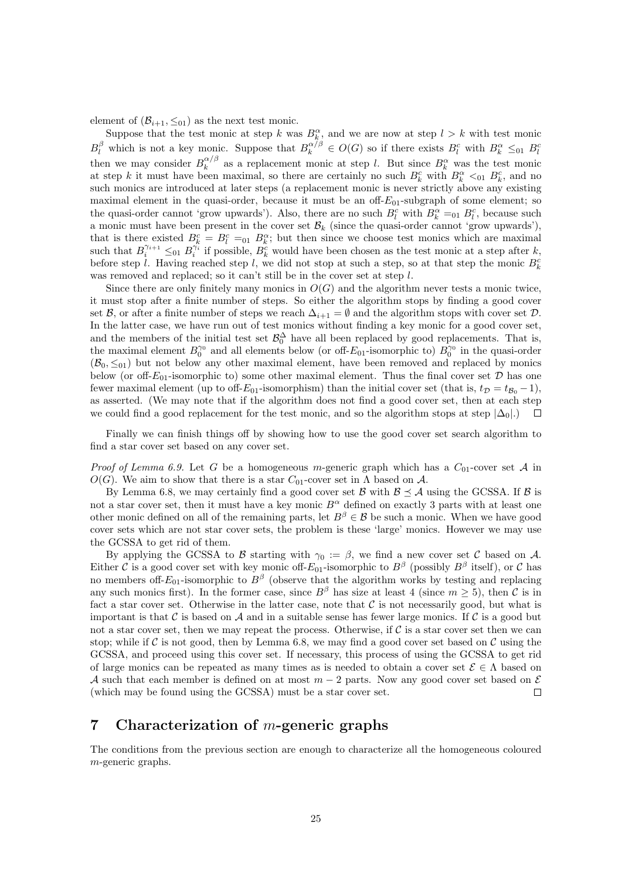element of  $(\mathcal{B}_{i+1}, \leq_{01})$  as the next test monic.

Suppose that the test monic at step k was  $B_k^{\alpha}$ , and we are now at step  $l > k$  with test monic  $B_l^{\beta}$  which is not a key monic. Suppose that  $B_k^{\alpha/\beta} \in O(G)$  so if there exists  $B_l^c$  with  $B_k^{\alpha} \leq_{0} B_l^{\alpha}$ then we may consider  $B_k^{\alpha/\beta}$  $\frac{\alpha}{k}$  as a replacement monic at step l. But since  $B_k^{\alpha}$  was the test monic at step k it must have been maximal, so there are certainly no such  $B_k^c$  with  $B_k^{\alpha} <_{0} B_k^c$ , and no such monics are introduced at later steps (a replacement monic is never strictly above any existing maximal element in the quasi-order, because it must be an off- $E_{01}$ -subgraph of some element; so the quasi-order cannot 'grow upwards'). Also, there are no such  $B_l^c$  with  $B_k^{\alpha} =_{0} B_l^c$ , because such a monic must have been present in the cover set  $\mathcal{B}_k$  (since the quasi-order cannot 'grow upwards'), that is there existed  $B_k^c = B_l^c =_{01} B_k^{\alpha}$ ; but then since we choose test monics which are maximal such that  $B_i^{\gamma_{i+1}} \leq_{0} B_i^{\gamma_i}$  if possible,  $B_k^c$  would have been chosen as the test monic at a step after k, before step l. Having reached step l, we did not stop at such a step, so at that step the monic  $B_k^c$ was removed and replaced; so it can't still be in the cover set at step l.

Since there are only finitely many monics in  $O(G)$  and the algorithm never tests a monic twice, it must stop after a finite number of steps. So either the algorithm stops by finding a good cover set B, or after a finite number of steps we reach  $\Delta_{i+1} = \emptyset$  and the algorithm stops with cover set D. In the latter case, we have run out of test monics without finding a key monic for a good cover set, and the members of the initial test set  $\mathcal{B}_0^{\Delta}$  have all been replaced by good replacements. That is, the maximal element  $B_0^{\gamma_0}$  and all elements below (or off- $E_{01}$ -isomorphic to)  $B_0^{\gamma_0}$  in the quasi-order  $(\mathcal{B}_0, \leq_{01})$  but not below any other maximal element, have been removed and replaced by monics below (or off- $E_{01}$ -isomorphic to) some other maximal element. Thus the final cover set  $D$  has one fewer maximal element (up to off-E<sub>01</sub>-isomorphism) than the initial cover set (that is,  $t_D = t_{B_0} - 1$ ), as asserted. (We may note that if the algorithm does not find a good cover set, then at each step we could find a good replacement for the test monic, and so the algorithm stops at step  $|\Delta_0|$ .)  $\Box$ 

Finally we can finish things off by showing how to use the good cover set search algorithm to find a star cover set based on any cover set.

*Proof of Lemma 6.9.* Let G be a homogeneous m-generic graph which has a  $C_{01}$ -cover set A in  $O(G)$ . We aim to show that there is a star  $C_{01}$ -cover set in  $\Lambda$  based on  $\mathcal{A}$ .

By Lemma 6.8, we may certainly find a good cover set B with  $\mathcal{B} \preceq \mathcal{A}$  using the GCSSA. If B is not a star cover set, then it must have a key monic  $B^{\alpha}$  defined on exactly 3 parts with at least one other monic defined on all of the remaining parts, let  $B^{\beta} \in \mathcal{B}$  be such a monic. When we have good cover sets which are not star cover sets, the problem is these 'large' monics. However we may use the GCSSA to get rid of them.

By applying the GCSSA to B starting with  $\gamma_0 := \beta$ , we find a new cover set C based on A. Either C is a good cover set with key monic off- $E_{01}$ -isomorphic to  $B^{\beta}$  (possibly  $B^{\beta}$  itself), or C has no members off- $E_{01}$ -isomorphic to  $B^{\beta}$  (observe that the algorithm works by testing and replacing any such monics first). In the former case, since  $B^{\beta}$  has size at least 4 (since  $m > 5$ ), then C is in fact a star cover set. Otherwise in the latter case, note that  $\mathcal C$  is not necessarily good, but what is important is that C is based on A and in a suitable sense has fewer large monics. If C is a good but not a star cover set, then we may repeat the process. Otherwise, if  $\mathcal C$  is a star cover set then we can stop; while if C is not good, then by Lemma 6.8, we may find a good cover set based on C using the GCSSA, and proceed using this cover set. If necessary, this process of using the GCSSA to get rid of large monics can be repeated as many times as is needed to obtain a cover set  $\mathcal{E} \in \Lambda$  based on A such that each member is defined on at most  $m-2$  parts. Now any good cover set based on  $\mathcal E$ (which may be found using the GCSSA) must be a star cover set.  $\Box$ 

## 7 Characterization of  $m$ -generic graphs

The conditions from the previous section are enough to characterize all the homogeneous coloured m-generic graphs.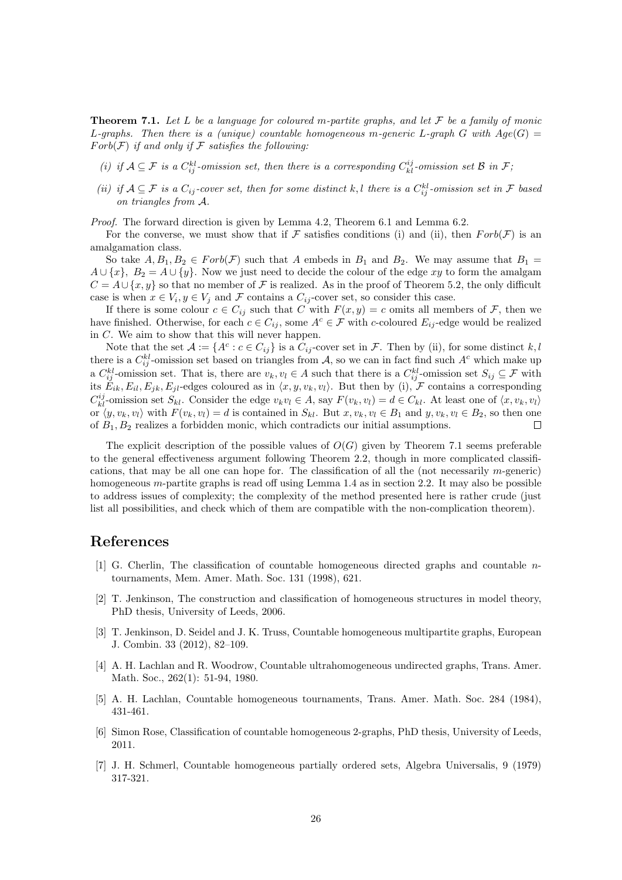**Theorem 7.1.** Let L be a language for coloured m-partite graphs, and let  $\mathcal F$  be a family of monic L-graphs. Then there is a (unique) countable homogeneous m-generic L-graph G with  $Aqe(G)$  $Forb(\mathcal{F})$  if and only if  $\mathcal F$  satisfies the following:

- (i) if  $A \subseteq \mathcal{F}$  is a  $C_{ij}^{kl}$ -omission set, then there is a corresponding  $C_{kl}^{ij}$ -omission set  $\mathcal{B}$  in  $\mathcal{F}$ ;
- (ii) if  $A \subseteq \mathcal{F}$  is a  $C_{ij}$ -cover set, then for some distinct k, l there is a  $C_{ij}^{kl}$ -omission set in  $\mathcal{F}$  based on triangles from A.

Proof. The forward direction is given by Lemma 4.2, Theorem 6.1 and Lemma 6.2.

For the converse, we must show that if F satisfies conditions (i) and (ii), then  $Forb(\mathcal{F})$  is an amalgamation class.

So take  $A, B_1, B_2 \in Forb(\mathcal{F})$  such that A embeds in  $B_1$  and  $B_2$ . We may assume that  $B_1 =$  $A \cup \{x\}, B_2 = A \cup \{y\}.$  Now we just need to decide the colour of the edge xy to form the amalgam  $C = A \cup \{x, y\}$  so that no member of F is realized. As in the proof of Theorem 5.2, the only difficult case is when  $x \in V_i$ ,  $y \in V_j$  and F contains a  $C_{ij}$ -cover set, so consider this case.

If there is some colour  $c \in C_{ij}$  such that C with  $F(x, y) = c$  omits all members of F, then we have finished. Otherwise, for each  $c \in C_{ij}$ , some  $A^c \in \mathcal{F}$  with c-coloured  $E_{ij}$ -edge would be realized in C. We aim to show that this will never happen.

Note that the set  $\mathcal{A} := \{A^c : c \in C_{ij}\}$  is a  $C_{ij}$ -cover set in  $\mathcal{F}$ . Then by (ii), for some distinct k, l there is a  $C_{ij}^{kl}$ -omission set based on triangles from A, so we can in fact find such  $A^c$  which make up a  $C_{ij}^{kl}$ -omission set. That is, there are  $v_k, v_l \in A$  such that there is a  $C_{ij}^{kl}$ -omission set  $S_{ij} \subseteq \mathcal{F}$  with its  $E_{ik}, E_{il}, E_{jk}, E_{jl}$ -edges coloured as in  $\langle x, y, v_k, v_l \rangle$ . But then by (i), F contains a corresponding  $C_{kl}^{ij}$ -omission set  $S_{kl}$ . Consider the edge  $v_kv_l \in A$ , say  $F(v_k, v_l) = d \in C_{kl}$ . At least one of  $\langle x, v_k, v_l \rangle$ or  $\langle y, v_k, v_l \rangle$  with  $F(v_k, v_l) = d$  is contained in  $S_{kl}$ . But  $x, v_k, v_l \in B_1$  and  $y, v_k, v_l \in B_2$ , so then one of  $B_1, B_2$  realizes a forbidden monic, which contradicts our initial assumptions.  $\Box$ 

The explicit description of the possible values of  $O(G)$  given by Theorem 7.1 seems preferable to the general effectiveness argument following Theorem 2.2, though in more complicated classifications, that may be all one can hope for. The classification of all the (not necessarily m-generic) homogeneous m-partite graphs is read off using Lemma 1.4 as in section 2.2. It may also be possible to address issues of complexity; the complexity of the method presented here is rather crude (just list all possibilities, and check which of them are compatible with the non-complication theorem).

## References

- [1] G. Cherlin, The classification of countable homogeneous directed graphs and countable  $n$ tournaments, Mem. Amer. Math. Soc. 131 (1998), 621.
- [2] T. Jenkinson, The construction and classification of homogeneous structures in model theory, PhD thesis, University of Leeds, 2006.
- [3] T. Jenkinson, D. Seidel and J. K. Truss, Countable homogeneous multipartite graphs, European J. Combin. 33 (2012), 82–109.
- [4] A. H. Lachlan and R. Woodrow, Countable ultrahomogeneous undirected graphs, Trans. Amer. Math. Soc., 262(1): 51-94, 1980.
- [5] A. H. Lachlan, Countable homogeneous tournaments, Trans. Amer. Math. Soc. 284 (1984), 431-461.
- [6] Simon Rose, Classification of countable homogeneous 2-graphs, PhD thesis, University of Leeds, 2011.
- [7] J. H. Schmerl, Countable homogeneous partially ordered sets, Algebra Universalis, 9 (1979) 317-321.